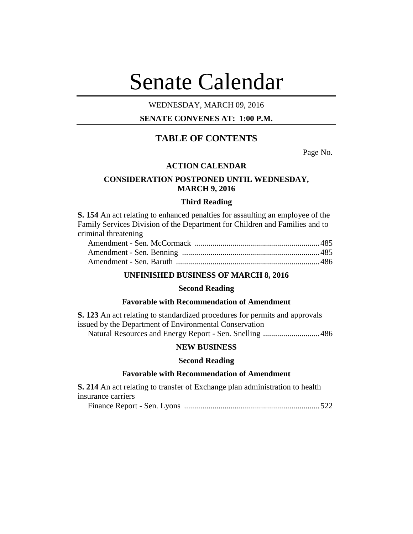# Senate Calendar

## WEDNESDAY, MARCH 09, 2016

## **SENATE CONVENES AT: 1:00 P.M.**

# **TABLE OF CONTENTS**

Page No.

#### **ACTION CALENDAR**

## **CONSIDERATION POSTPONED UNTIL WEDNESDAY, MARCH 9, 2016**

#### **Third Reading**

**S. 154** An act relating to enhanced penalties for assaulting an employee of the Family Services Division of the Department for Children and Families and to criminal threatening

#### **UNFINISHED BUSINESS OF MARCH 8, 2016**

#### **Second Reading**

## **Favorable with Recommendation of Amendment**

**S. 123** An act relating to standardized procedures for permits and approvals issued by the Department of Environmental Conservation Natural Resources and Energy Report - Sen. Snelling ............................486

#### **NEW BUSINESS**

#### **Second Reading**

## **Favorable with Recommendation of Amendment**

**S. 214** An act relating to transfer of Exchange plan administration to health insurance carriers

Finance Report - Sen. Lyons ...................................................................522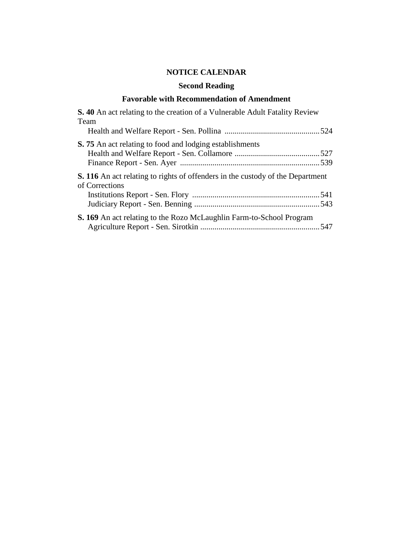# **NOTICE CALENDAR**

# **Second Reading**

## **Favorable with Recommendation of Amendment**

| <b>S.</b> 40 An act relating to the creation of a Vulnerable Adult Fatality Review<br>Team              |  |
|---------------------------------------------------------------------------------------------------------|--|
|                                                                                                         |  |
| <b>S.</b> 75 An act relating to food and lodging establishments                                         |  |
| <b>S. 116</b> An act relating to rights of offenders in the custody of the Department<br>of Corrections |  |
| <b>S. 169</b> An act relating to the Rozo McLaughlin Farm-to-School Program                             |  |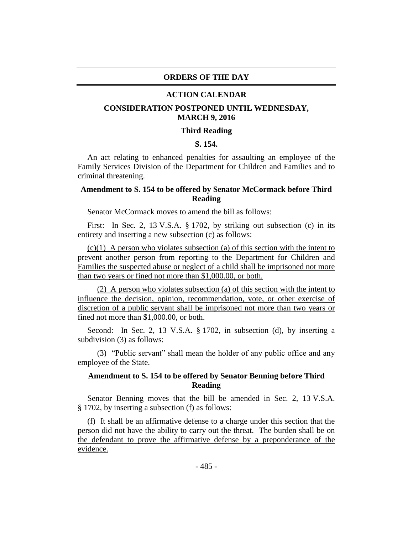#### **ORDERS OF THE DAY**

#### **ACTION CALENDAR**

## **CONSIDERATION POSTPONED UNTIL WEDNESDAY, MARCH 9, 2016**

#### **Third Reading**

## **S. 154.**

An act relating to enhanced penalties for assaulting an employee of the Family Services Division of the Department for Children and Families and to criminal threatening.

## **Amendment to S. 154 to be offered by Senator McCormack before Third Reading**

Senator McCormack moves to amend the bill as follows:

First: In Sec. 2, 13 V.S.A. § 1702, by striking out subsection (c) in its entirety and inserting a new subsection (c) as follows:

 $(c)(1)$  A person who violates subsection (a) of this section with the intent to prevent another person from reporting to the Department for Children and Families the suspected abuse or neglect of a child shall be imprisoned not more than two years or fined not more than \$1,000.00, or both.

(2) A person who violates subsection (a) of this section with the intent to influence the decision, opinion, recommendation, vote, or other exercise of discretion of a public servant shall be imprisoned not more than two years or fined not more than \$1,000.00, or both.

Second: In Sec. 2, 13 V.S.A. § 1702, in subsection (d), by inserting a subdivision (3) as follows:

(3) "Public servant" shall mean the holder of any public office and any employee of the State.

## **Amendment to S. 154 to be offered by Senator Benning before Third Reading**

Senator Benning moves that the bill be amended in Sec. 2, 13 V.S.A. § 1702, by inserting a subsection (f) as follows:

(f) It shall be an affirmative defense to a charge under this section that the person did not have the ability to carry out the threat. The burden shall be on the defendant to prove the affirmative defense by a preponderance of the evidence.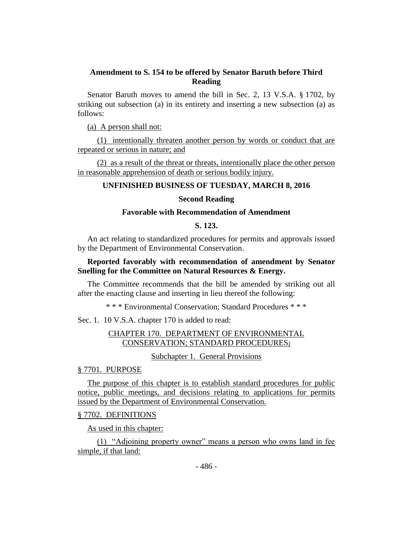## **Amendment to S. 154 to be offered by Senator Baruth before Third Reading**

Senator Baruth moves to amend the bill in Sec. 2, 13 V.S.A. § 1702, by striking out subsection (a) in its entirety and inserting a new subsection (a) as follows:

(a) A person shall not:

(1) intentionally threaten another person by words or conduct that are repeated or serious in nature; and

(2) as a result of the threat or threats, intentionally place the other person in reasonable apprehension of death or serious bodily injury.

## **UNFINISHED BUSINESS OF TUESDAY, MARCH 8, 2016**

## **Second Reading**

## **Favorable with Recommendation of Amendment**

## **S. 123.**

An act relating to standardized procedures for permits and approvals issued by the Department of Environmental Conservation.

## **Reported favorably with recommendation of amendment by Senator Snelling for the Committee on Natural Resources & Energy.**

The Committee recommends that the bill be amended by striking out all after the enacting clause and inserting in lieu thereof the following:

\* \* \* Environmental Conservation; Standard Procedures \* \* \*

Sec. 1. 10 V.S.A. chapter 170 is added to read:

## CHAPTER 170. DEPARTMENT OF ENVIRONMENTAL CONSERVATION; STANDARD PROCEDURES;

Subchapter 1. General Provisions

## § 7701. PURPOSE

The purpose of this chapter is to establish standard procedures for public notice, public meetings, and decisions relating to applications for permits issued by the Department of Environmental Conservation.

## § 7702. DEFINITIONS

As used in this chapter:

(1) "Adjoining property owner" means a person who owns land in fee simple, if that land: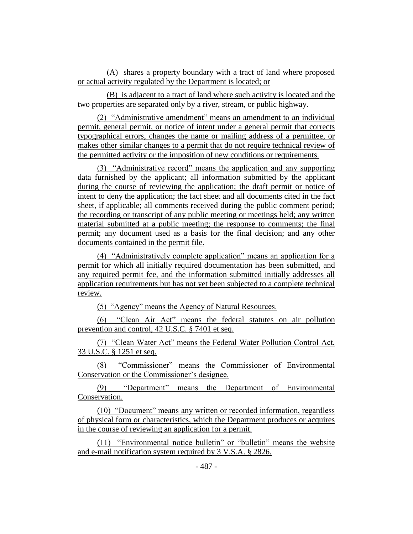(A) shares a property boundary with a tract of land where proposed or actual activity regulated by the Department is located; or

(B) is adjacent to a tract of land where such activity is located and the two properties are separated only by a river, stream, or public highway.

(2) "Administrative amendment" means an amendment to an individual permit, general permit, or notice of intent under a general permit that corrects typographical errors, changes the name or mailing address of a permittee, or makes other similar changes to a permit that do not require technical review of the permitted activity or the imposition of new conditions or requirements.

(3) "Administrative record" means the application and any supporting data furnished by the applicant; all information submitted by the applicant during the course of reviewing the application; the draft permit or notice of intent to deny the application; the fact sheet and all documents cited in the fact sheet, if applicable; all comments received during the public comment period; the recording or transcript of any public meeting or meetings held; any written material submitted at a public meeting; the response to comments; the final permit; any document used as a basis for the final decision; and any other documents contained in the permit file.

(4) "Administratively complete application" means an application for a permit for which all initially required documentation has been submitted, and any required permit fee, and the information submitted initially addresses all application requirements but has not yet been subjected to a complete technical review.

(5) "Agency" means the Agency of Natural Resources.

(6) "Clean Air Act" means the federal statutes on air pollution prevention and control, 42 U.S.C. § 7401 et seq.

(7) "Clean Water Act" means the Federal Water Pollution Control Act, 33 U.S.C. § 1251 et seq.

(8) "Commissioner" means the Commissioner of Environmental Conservation or the Commissioner's designee.

(9) "Department" means the Department of Environmental Conservation.

(10) "Document" means any written or recorded information, regardless of physical form or characteristics, which the Department produces or acquires in the course of reviewing an application for a permit.

(11) "Environmental notice bulletin" or "bulletin" means the website and e-mail notification system required by 3 V.S.A. § 2826.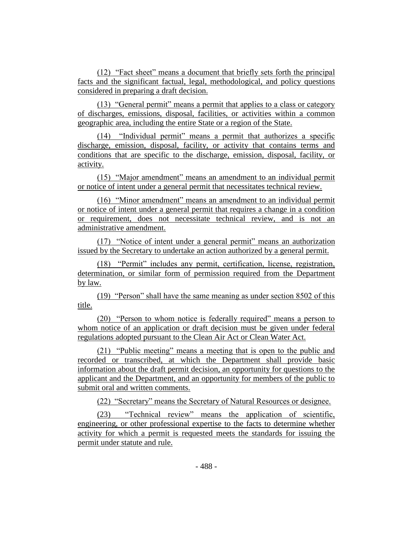(12) "Fact sheet" means a document that briefly sets forth the principal facts and the significant factual, legal, methodological, and policy questions considered in preparing a draft decision.

(13) "General permit" means a permit that applies to a class or category of discharges, emissions, disposal, facilities, or activities within a common geographic area, including the entire State or a region of the State.

(14) "Individual permit" means a permit that authorizes a specific discharge, emission, disposal, facility, or activity that contains terms and conditions that are specific to the discharge, emission, disposal, facility, or activity.

(15) "Major amendment" means an amendment to an individual permit or notice of intent under a general permit that necessitates technical review.

(16) "Minor amendment" means an amendment to an individual permit or notice of intent under a general permit that requires a change in a condition or requirement, does not necessitate technical review, and is not an administrative amendment.

(17) "Notice of intent under a general permit" means an authorization issued by the Secretary to undertake an action authorized by a general permit.

(18) "Permit" includes any permit, certification, license, registration, determination, or similar form of permission required from the Department by law.

(19) "Person" shall have the same meaning as under section 8502 of this title.

(20) "Person to whom notice is federally required" means a person to whom notice of an application or draft decision must be given under federal regulations adopted pursuant to the Clean Air Act or Clean Water Act.

(21) "Public meeting" means a meeting that is open to the public and recorded or transcribed, at which the Department shall provide basic information about the draft permit decision, an opportunity for questions to the applicant and the Department, and an opportunity for members of the public to submit oral and written comments.

(22) "Secretary" means the Secretary of Natural Resources or designee.

(23) "Technical review" means the application of scientific, engineering, or other professional expertise to the facts to determine whether activity for which a permit is requested meets the standards for issuing the permit under statute and rule.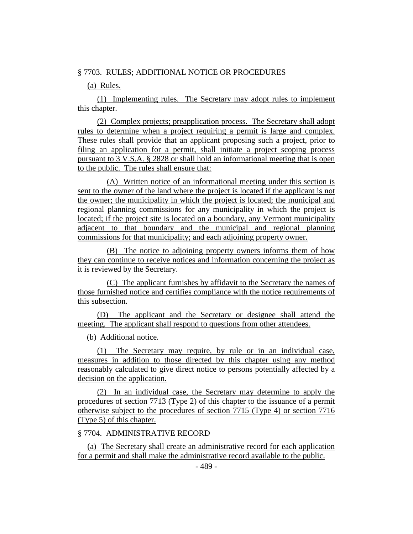#### § 7703. RULES; ADDITIONAL NOTICE OR PROCEDURES

(a) Rules.

(1) Implementing rules. The Secretary may adopt rules to implement this chapter.

(2) Complex projects; preapplication process. The Secretary shall adopt rules to determine when a project requiring a permit is large and complex. These rules shall provide that an applicant proposing such a project, prior to filing an application for a permit, shall initiate a project scoping process pursuant to 3 V.S.A. § 2828 or shall hold an informational meeting that is open to the public. The rules shall ensure that:

(A) Written notice of an informational meeting under this section is sent to the owner of the land where the project is located if the applicant is not the owner; the municipality in which the project is located; the municipal and regional planning commissions for any municipality in which the project is located; if the project site is located on a boundary, any Vermont municipality adjacent to that boundary and the municipal and regional planning commissions for that municipality; and each adjoining property owner.

(B) The notice to adjoining property owners informs them of how they can continue to receive notices and information concerning the project as it is reviewed by the Secretary.

(C) The applicant furnishes by affidavit to the Secretary the names of those furnished notice and certifies compliance with the notice requirements of this subsection.

(D) The applicant and the Secretary or designee shall attend the meeting. The applicant shall respond to questions from other attendees.

(b) Additional notice.

(1) The Secretary may require, by rule or in an individual case, measures in addition to those directed by this chapter using any method reasonably calculated to give direct notice to persons potentially affected by a decision on the application.

(2) In an individual case, the Secretary may determine to apply the procedures of section 7713 (Type 2) of this chapter to the issuance of a permit otherwise subject to the procedures of section 7715 (Type 4) or section 7716 (Type 5) of this chapter.

## § 7704. ADMINISTRATIVE RECORD

(a) The Secretary shall create an administrative record for each application for a permit and shall make the administrative record available to the public.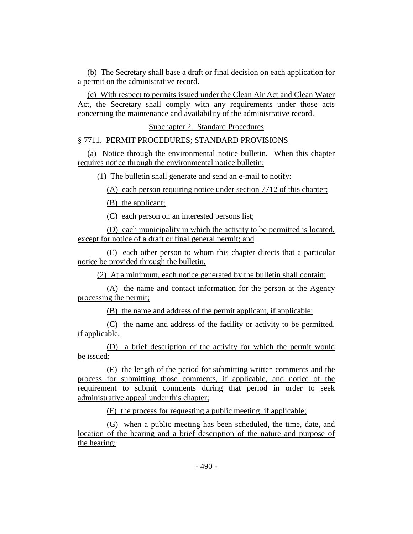(b) The Secretary shall base a draft or final decision on each application for a permit on the administrative record.

(c) With respect to permits issued under the Clean Air Act and Clean Water Act, the Secretary shall comply with any requirements under those acts concerning the maintenance and availability of the administrative record.

Subchapter 2. Standard Procedures

## § 7711. PERMIT PROCEDURES; STANDARD PROVISIONS

(a) Notice through the environmental notice bulletin. When this chapter requires notice through the environmental notice bulletin:

(1) The bulletin shall generate and send an e-mail to notify:

(A) each person requiring notice under section 7712 of this chapter;

(B) the applicant;

(C) each person on an interested persons list;

(D) each municipality in which the activity to be permitted is located, except for notice of a draft or final general permit; and

(E) each other person to whom this chapter directs that a particular notice be provided through the bulletin.

(2) At a minimum, each notice generated by the bulletin shall contain:

(A) the name and contact information for the person at the Agency processing the permit;

(B) the name and address of the permit applicant, if applicable;

(C) the name and address of the facility or activity to be permitted, if applicable;

(D) a brief description of the activity for which the permit would be issued;

(E) the length of the period for submitting written comments and the process for submitting those comments, if applicable, and notice of the requirement to submit comments during that period in order to seek administrative appeal under this chapter;

(F) the process for requesting a public meeting, if applicable;

(G) when a public meeting has been scheduled, the time, date, and location of the hearing and a brief description of the nature and purpose of the hearing;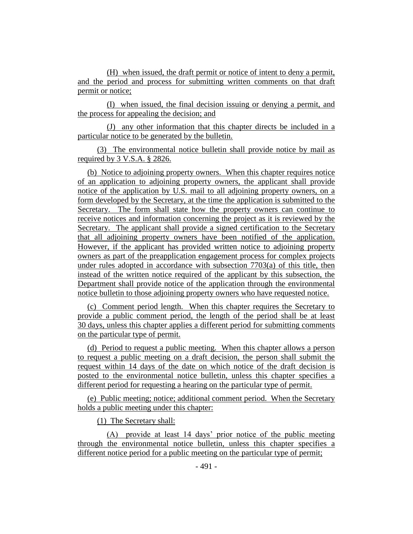(H) when issued, the draft permit or notice of intent to deny a permit, and the period and process for submitting written comments on that draft permit or notice;

(I) when issued, the final decision issuing or denying a permit, and the process for appealing the decision; and

(J) any other information that this chapter directs be included in a particular notice to be generated by the bulletin.

(3) The environmental notice bulletin shall provide notice by mail as required by 3 V.S.A. § 2826.

(b) Notice to adjoining property owners. When this chapter requires notice of an application to adjoining property owners, the applicant shall provide notice of the application by U.S. mail to all adjoining property owners, on a form developed by the Secretary, at the time the application is submitted to the Secretary. The form shall state how the property owners can continue to receive notices and information concerning the project as it is reviewed by the Secretary. The applicant shall provide a signed certification to the Secretary that all adjoining property owners have been notified of the application. However, if the applicant has provided written notice to adjoining property owners as part of the preapplication engagement process for complex projects under rules adopted in accordance with subsection  $7703(a)$  of this title, then instead of the written notice required of the applicant by this subsection, the Department shall provide notice of the application through the environmental notice bulletin to those adjoining property owners who have requested notice.

(c) Comment period length. When this chapter requires the Secretary to provide a public comment period, the length of the period shall be at least 30 days, unless this chapter applies a different period for submitting comments on the particular type of permit.

(d) Period to request a public meeting. When this chapter allows a person to request a public meeting on a draft decision, the person shall submit the request within 14 days of the date on which notice of the draft decision is posted to the environmental notice bulletin, unless this chapter specifies a different period for requesting a hearing on the particular type of permit.

(e) Public meeting; notice; additional comment period. When the Secretary holds a public meeting under this chapter:

(1) The Secretary shall:

(A) provide at least 14 days' prior notice of the public meeting through the environmental notice bulletin, unless this chapter specifies a different notice period for a public meeting on the particular type of permit;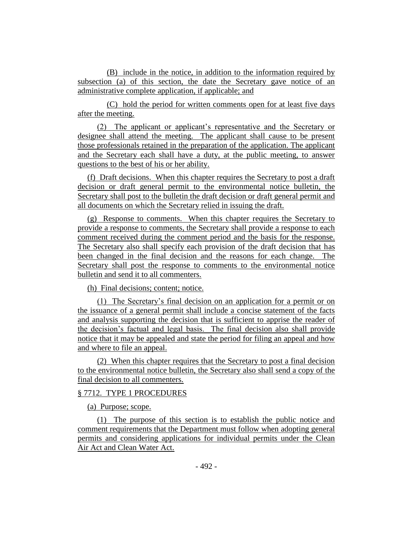(B) include in the notice, in addition to the information required by subsection (a) of this section, the date the Secretary gave notice of an administrative complete application, if applicable; and

(C) hold the period for written comments open for at least five days after the meeting.

(2) The applicant or applicant's representative and the Secretary or designee shall attend the meeting. The applicant shall cause to be present those professionals retained in the preparation of the application. The applicant and the Secretary each shall have a duty, at the public meeting, to answer questions to the best of his or her ability.

(f) Draft decisions. When this chapter requires the Secretary to post a draft decision or draft general permit to the environmental notice bulletin, the Secretary shall post to the bulletin the draft decision or draft general permit and all documents on which the Secretary relied in issuing the draft.

(g) Response to comments. When this chapter requires the Secretary to provide a response to comments, the Secretary shall provide a response to each comment received during the comment period and the basis for the response. The Secretary also shall specify each provision of the draft decision that has been changed in the final decision and the reasons for each change. The Secretary shall post the response to comments to the environmental notice bulletin and send it to all commenters.

(h) Final decisions; content; notice.

(1) The Secretary's final decision on an application for a permit or on the issuance of a general permit shall include a concise statement of the facts and analysis supporting the decision that is sufficient to apprise the reader of the decision's factual and legal basis. The final decision also shall provide notice that it may be appealed and state the period for filing an appeal and how and where to file an appeal.

(2) When this chapter requires that the Secretary to post a final decision to the environmental notice bulletin, the Secretary also shall send a copy of the final decision to all commenters.

#### § 7712. TYPE 1 PROCEDURES

(a) Purpose; scope.

(1) The purpose of this section is to establish the public notice and comment requirements that the Department must follow when adopting general permits and considering applications for individual permits under the Clean Air Act and Clean Water Act.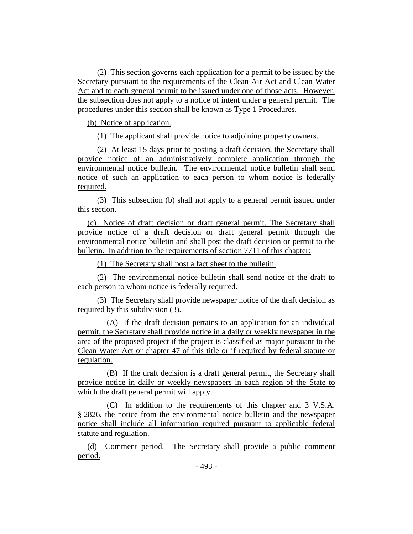(2) This section governs each application for a permit to be issued by the Secretary pursuant to the requirements of the Clean Air Act and Clean Water Act and to each general permit to be issued under one of those acts. However, the subsection does not apply to a notice of intent under a general permit. The procedures under this section shall be known as Type 1 Procedures.

(b) Notice of application.

(1) The applicant shall provide notice to adjoining property owners.

(2) At least 15 days prior to posting a draft decision, the Secretary shall provide notice of an administratively complete application through the environmental notice bulletin. The environmental notice bulletin shall send notice of such an application to each person to whom notice is federally required.

(3) This subsection (b) shall not apply to a general permit issued under this section.

(c) Notice of draft decision or draft general permit. The Secretary shall provide notice of a draft decision or draft general permit through the environmental notice bulletin and shall post the draft decision or permit to the bulletin. In addition to the requirements of section 7711 of this chapter:

(1) The Secretary shall post a fact sheet to the bulletin.

(2) The environmental notice bulletin shall send notice of the draft to each person to whom notice is federally required.

(3) The Secretary shall provide newspaper notice of the draft decision as required by this subdivision (3).

(A) If the draft decision pertains to an application for an individual permit, the Secretary shall provide notice in a daily or weekly newspaper in the area of the proposed project if the project is classified as major pursuant to the Clean Water Act or chapter 47 of this title or if required by federal statute or regulation.

(B) If the draft decision is a draft general permit, the Secretary shall provide notice in daily or weekly newspapers in each region of the State to which the draft general permit will apply.

(C) In addition to the requirements of this chapter and 3 V.S.A. § 2826, the notice from the environmental notice bulletin and the newspaper notice shall include all information required pursuant to applicable federal statute and regulation.

(d) Comment period. The Secretary shall provide a public comment period.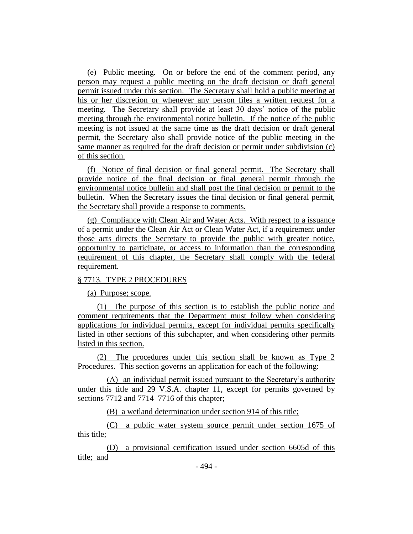(e) Public meeting. On or before the end of the comment period, any person may request a public meeting on the draft decision or draft general permit issued under this section. The Secretary shall hold a public meeting at his or her discretion or whenever any person files a written request for a meeting. The Secretary shall provide at least 30 days' notice of the public meeting through the environmental notice bulletin. If the notice of the public meeting is not issued at the same time as the draft decision or draft general permit, the Secretary also shall provide notice of the public meeting in the same manner as required for the draft decision or permit under subdivision (c) of this section.

(f) Notice of final decision or final general permit. The Secretary shall provide notice of the final decision or final general permit through the environmental notice bulletin and shall post the final decision or permit to the bulletin. When the Secretary issues the final decision or final general permit, the Secretary shall provide a response to comments.

(g) Compliance with Clean Air and Water Acts. With respect to a issuance of a permit under the Clean Air Act or Clean Water Act, if a requirement under those acts directs the Secretary to provide the public with greater notice, opportunity to participate, or access to information than the corresponding requirement of this chapter, the Secretary shall comply with the federal requirement.

## § 7713. TYPE 2 PROCEDURES

(a) Purpose; scope.

(1) The purpose of this section is to establish the public notice and comment requirements that the Department must follow when considering applications for individual permits, except for individual permits specifically listed in other sections of this subchapter, and when considering other permits listed in this section.

(2) The procedures under this section shall be known as Type 2 Procedures. This section governs an application for each of the following:

(A) an individual permit issued pursuant to the Secretary's authority under this title and 29 V.S.A. chapter 11, except for permits governed by sections 7712 and 7714–7716 of this chapter;

(B) a wetland determination under section 914 of this title;

(C) a public water system source permit under section 1675 of this title;

(D) a provisional certification issued under section 6605d of this title; and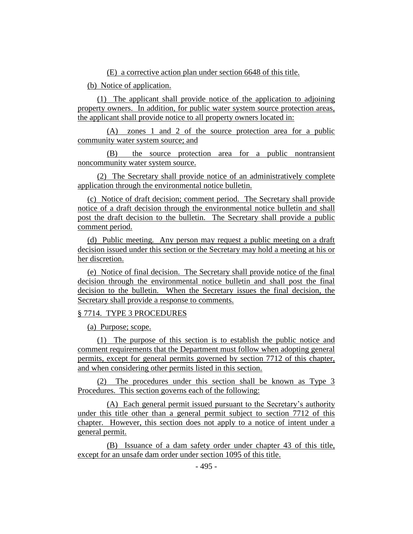(E) a corrective action plan under section 6648 of this title.

(b) Notice of application.

(1) The applicant shall provide notice of the application to adjoining property owners. In addition, for public water system source protection areas, the applicant shall provide notice to all property owners located in:

(A) zones 1 and 2 of the source protection area for a public community water system source; and

(B) the source protection area for a public nontransient noncommunity water system source.

(2) The Secretary shall provide notice of an administratively complete application through the environmental notice bulletin.

(c) Notice of draft decision; comment period. The Secretary shall provide notice of a draft decision through the environmental notice bulletin and shall post the draft decision to the bulletin. The Secretary shall provide a public comment period.

(d) Public meeting. Any person may request a public meeting on a draft decision issued under this section or the Secretary may hold a meeting at his or her discretion.

(e) Notice of final decision. The Secretary shall provide notice of the final decision through the environmental notice bulletin and shall post the final decision to the bulletin. When the Secretary issues the final decision, the Secretary shall provide a response to comments.

## § 7714. TYPE 3 PROCEDURES

(a) Purpose; scope.

(1) The purpose of this section is to establish the public notice and comment requirements that the Department must follow when adopting general permits, except for general permits governed by section 7712 of this chapter, and when considering other permits listed in this section.

(2) The procedures under this section shall be known as Type 3 Procedures. This section governs each of the following:

(A) Each general permit issued pursuant to the Secretary's authority under this title other than a general permit subject to section 7712 of this chapter. However, this section does not apply to a notice of intent under a general permit.

(B) Issuance of a dam safety order under chapter 43 of this title, except for an unsafe dam order under section 1095 of this title.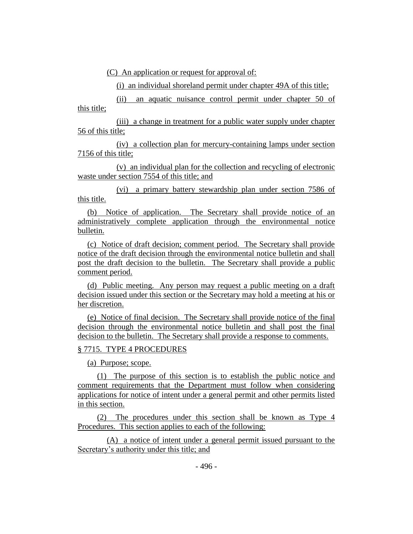(C) An application or request for approval of:

(i) an individual shoreland permit under chapter 49A of this title;

(ii) an aquatic nuisance control permit under chapter 50 of this title;

(iii) a change in treatment for a public water supply under chapter 56 of this title;

(iv) a collection plan for mercury-containing lamps under section 7156 of this title;

(v) an individual plan for the collection and recycling of electronic waste under section 7554 of this title; and

(vi) a primary battery stewardship plan under section 7586 of this title.

(b) Notice of application. The Secretary shall provide notice of an administratively complete application through the environmental notice bulletin.

(c) Notice of draft decision; comment period. The Secretary shall provide notice of the draft decision through the environmental notice bulletin and shall post the draft decision to the bulletin. The Secretary shall provide a public comment period.

(d) Public meeting. Any person may request a public meeting on a draft decision issued under this section or the Secretary may hold a meeting at his or her discretion.

(e) Notice of final decision. The Secretary shall provide notice of the final decision through the environmental notice bulletin and shall post the final decision to the bulletin. The Secretary shall provide a response to comments.

## § 7715. TYPE 4 PROCEDURES

(a) Purpose; scope.

(1) The purpose of this section is to establish the public notice and comment requirements that the Department must follow when considering applications for notice of intent under a general permit and other permits listed in this section.

(2) The procedures under this section shall be known as Type 4 Procedures. This section applies to each of the following:

(A) a notice of intent under a general permit issued pursuant to the Secretary's authority under this title; and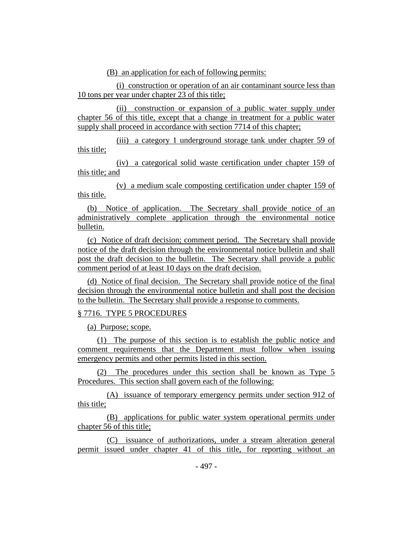(B) an application for each of following permits:

(i) construction or operation of an air contaminant source less than 10 tons per year under chapter 23 of this title;

(ii) construction or expansion of a public water supply under chapter 56 of this title, except that a change in treatment for a public water supply shall proceed in accordance with section 7714 of this chapter;

(iii) a category 1 underground storage tank under chapter 59 of this title;

(iv) a categorical solid waste certification under chapter 159 of this title; and

(v) a medium scale composting certification under chapter 159 of this title.

(b) Notice of application. The Secretary shall provide notice of an administratively complete application through the environmental notice bulletin.

(c) Notice of draft decision; comment period. The Secretary shall provide notice of the draft decision through the environmental notice bulletin and shall post the draft decision to the bulletin. The Secretary shall provide a public comment period of at least 10 days on the draft decision.

(d) Notice of final decision. The Secretary shall provide notice of the final decision through the environmental notice bulletin and shall post the decision to the bulletin. The Secretary shall provide a response to comments.

## § 7716. TYPE 5 PROCEDURES

(a) Purpose; scope.

(1) The purpose of this section is to establish the public notice and comment requirements that the Department must follow when issuing emergency permits and other permits listed in this section.

(2) The procedures under this section shall be known as Type 5 Procedures. This section shall govern each of the following:

(A) issuance of temporary emergency permits under section 912 of this title;

(B) applications for public water system operational permits under chapter 56 of this title;

(C) issuance of authorizations, under a stream alteration general permit issued under chapter 41 of this title, for reporting without an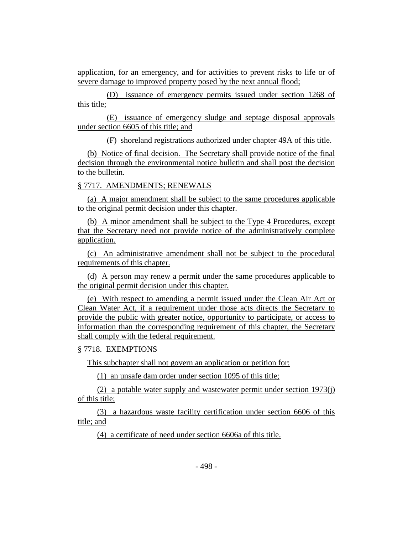application, for an emergency, and for activities to prevent risks to life or of severe damage to improved property posed by the next annual flood;

(D) issuance of emergency permits issued under section 1268 of this title;

(E) issuance of emergency sludge and septage disposal approvals under section 6605 of this title; and

(F) shoreland registrations authorized under chapter 49A of this title.

(b) Notice of final decision. The Secretary shall provide notice of the final decision through the environmental notice bulletin and shall post the decision to the bulletin.

§ 7717. AMENDMENTS; RENEWALS

(a) A major amendment shall be subject to the same procedures applicable to the original permit decision under this chapter.

(b) A minor amendment shall be subject to the Type 4 Procedures, except that the Secretary need not provide notice of the administratively complete application.

(c) An administrative amendment shall not be subject to the procedural requirements of this chapter.

(d) A person may renew a permit under the same procedures applicable to the original permit decision under this chapter.

(e) With respect to amending a permit issued under the Clean Air Act or Clean Water Act, if a requirement under those acts directs the Secretary to provide the public with greater notice, opportunity to participate, or access to information than the corresponding requirement of this chapter, the Secretary shall comply with the federal requirement.

#### § 7718. EXEMPTIONS

This subchapter shall not govern an application or petition for:

(1) an unsafe dam order under section 1095 of this title;

(2) a potable water supply and wastewater permit under section 1973(j) of this title;

(3) a hazardous waste facility certification under section 6606 of this title; and

(4) a certificate of need under section 6606a of this title.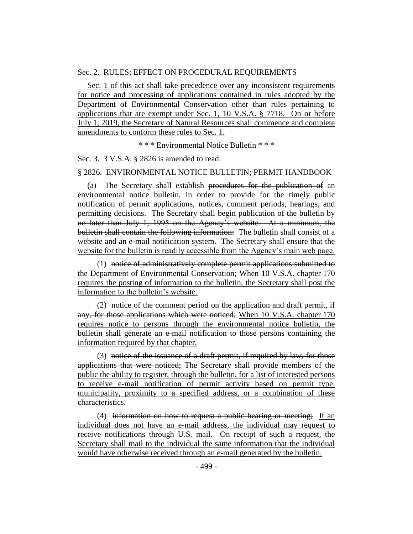#### Sec. 2. RULES; EFFECT ON PROCEDURAL REQUIREMENTS

Sec. 1 of this act shall take precedence over any inconsistent requirements for notice and processing of applications contained in rules adopted by the Department of Environmental Conservation other than rules pertaining to applications that are exempt under Sec. 1, 10 V.S.A. § 7718. On or before July 1, 2019, the Secretary of Natural Resources shall commence and complete amendments to conform these rules to Sec. 1.

\* \* \* Environmental Notice Bulletin \* \* \*

Sec. 3. 3 V.S.A. § 2826 is amended to read:

#### § 2826. ENVIRONMENTAL NOTICE BULLETIN; PERMIT HANDBOOK

(a) The Secretary shall establish procedures for the publication of an environmental notice bulletin, in order to provide for the timely public notification of permit applications, notices, comment periods, hearings, and permitting decisions. The Secretary shall begin publication of the bulletin by no later than July 1, 1995 on the Agency's website. At a minimum, the bulletin shall contain the following information: The bulletin shall consist of a website and an e-mail notification system. The Secretary shall ensure that the website for the bulletin is readily accessible from the Agency's main web page.

(1) notice of administratively complete permit applications submitted to the Department of Environmental Conservation; When 10 V.S.A. chapter 170 requires the posting of information to the bulletin, the Secretary shall post the information to the bulletin's website.

(2) notice of the comment period on the application and draft permit, if any, for those applications which were noticed; When 10 V.S.A. chapter 170 requires notice to persons through the environmental notice bulletin, the bulletin shall generate an e-mail notification to those persons containing the information required by that chapter.

(3) notice of the issuance of a draft permit, if required by law, for those applications that were noticed; The Secretary shall provide members of the public the ability to register, through the bulletin, for a list of interested persons to receive e-mail notification of permit activity based on permit type, municipality, proximity to a specified address, or a combination of these characteristics.

(4) information on how to request a public hearing or meeting; If an individual does not have an e-mail address, the individual may request to receive notifications through U.S. mail. On receipt of such a request, the Secretary shall mail to the individual the same information that the individual would have otherwise received through an e-mail generated by the bulletin.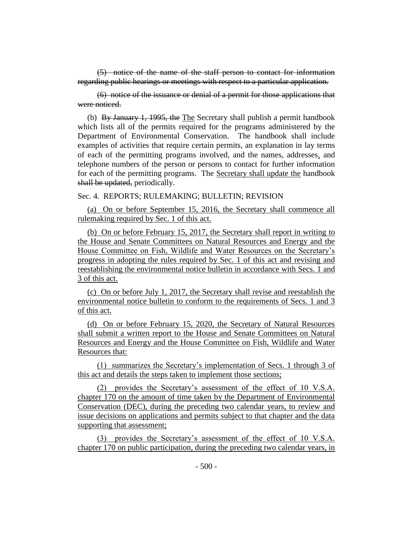(5) notice of the name of the staff person to contact for information regarding public hearings or meetings with respect to a particular application.

(6) notice of the issuance or denial of a permit for those applications that were noticed.

(b) By January 1, 1995, the The Secretary shall publish a permit handbook which lists all of the permits required for the programs administered by the Department of Environmental Conservation. The handbook shall include examples of activities that require certain permits, an explanation in lay terms of each of the permitting programs involved, and the names, addresses, and telephone numbers of the person or persons to contact for further information for each of the permitting programs. The Secretary shall update the handbook shall be updated, periodically.

Sec. 4. REPORTS; RULEMAKING; BULLETIN; REVISION

(a) On or before September 15, 2016, the Secretary shall commence all rulemaking required by Sec. 1 of this act.

(b) On or before February 15, 2017, the Secretary shall report in writing to the House and Senate Committees on Natural Resources and Energy and the House Committee on Fish, Wildlife and Water Resources on the Secretary's progress in adopting the rules required by Sec. 1 of this act and revising and reestablishing the environmental notice bulletin in accordance with Secs. 1 and 3 of this act.

(c) On or before July 1, 2017, the Secretary shall revise and reestablish the environmental notice bulletin to conform to the requirements of Secs. 1 and 3 of this act.

(d) On or before February 15, 2020, the Secretary of Natural Resources shall submit a written report to the House and Senate Committees on Natural Resources and Energy and the House Committee on Fish, Wildlife and Water Resources that:

(1) summarizes the Secretary's implementation of Secs. 1 through 3 of this act and details the steps taken to implement those sections;

(2) provides the Secretary's assessment of the effect of 10 V.S.A. chapter 170 on the amount of time taken by the Department of Environmental Conservation (DEC), during the preceding two calendar years, to review and issue decisions on applications and permits subject to that chapter and the data supporting that assessment;

(3) provides the Secretary's assessment of the effect of 10 V.S.A. chapter 170 on public participation, during the preceding two calendar years, in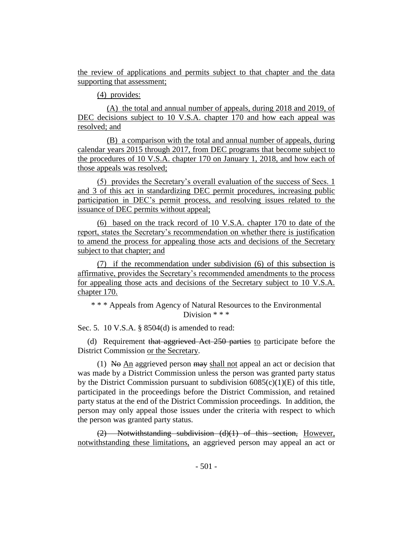the review of applications and permits subject to that chapter and the data supporting that assessment;

(4) provides:

(A) the total and annual number of appeals, during 2018 and 2019, of DEC decisions subject to 10 V.S.A. chapter 170 and how each appeal was resolved; and

(B) a comparison with the total and annual number of appeals, during calendar years 2015 through 2017, from DEC programs that become subject to the procedures of 10 V.S.A. chapter 170 on January 1, 2018, and how each of those appeals was resolved;

(5) provides the Secretary's overall evaluation of the success of Secs. 1 and 3 of this act in standardizing DEC permit procedures, increasing public participation in DEC's permit process, and resolving issues related to the issuance of DEC permits without appeal;

(6) based on the track record of 10 V.S.A. chapter 170 to date of the report, states the Secretary's recommendation on whether there is justification to amend the process for appealing those acts and decisions of the Secretary subject to that chapter; and

(7) if the recommendation under subdivision (6) of this subsection is affirmative, provides the Secretary's recommended amendments to the process for appealing those acts and decisions of the Secretary subject to 10 V.S.A. chapter 170.

\* \* \* Appeals from Agency of Natural Resources to the Environmental Division \* \* \*

Sec. 5. 10 V.S.A. § 8504(d) is amended to read:

(d) Requirement that aggrieved Act 250 parties to participate before the District Commission or the Secretary.

(1) No An aggrieved person  $\frac{m}{w}$  shall not appeal an act or decision that was made by a District Commission unless the person was granted party status by the District Commission pursuant to subdivision  $6085(c)(1)(E)$  of this title, participated in the proceedings before the District Commission, and retained party status at the end of the District Commission proceedings. In addition, the person may only appeal those issues under the criteria with respect to which the person was granted party status.

(2) Notwithstanding subdivision (d)(1) of this section, However, notwithstanding these limitations, an aggrieved person may appeal an act or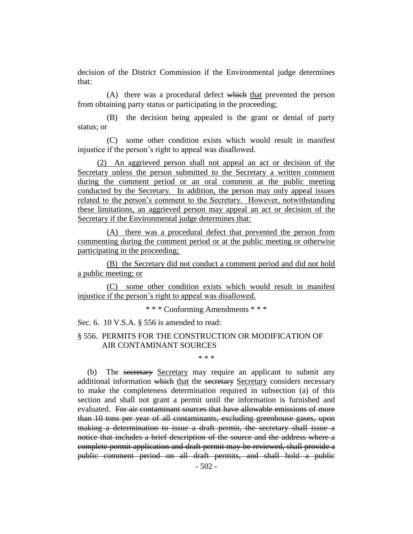decision of the District Commission if the Environmental judge determines that:

(A) there was a procedural defect which that prevented the person from obtaining party status or participating in the proceeding;

(B) the decision being appealed is the grant or denial of party status; or

(C) some other condition exists which would result in manifest injustice if the person's right to appeal was disallowed.

(2) An aggrieved person shall not appeal an act or decision of the Secretary unless the person submitted to the Secretary a written comment during the comment period or an oral comment at the public meeting conducted by the Secretary. In addition, the person may only appeal issues related to the person's comment to the Secretary. However, notwithstanding these limitations, an aggrieved person may appeal an act or decision of the Secretary if the Environmental judge determines that:

(A) there was a procedural defect that prevented the person from commenting during the comment period or at the public meeting or otherwise participating in the proceeding;

(B) the Secretary did not conduct a comment period and did not hold a public meeting; or

(C) some other condition exists which would result in manifest injustice if the person's right to appeal was disallowed.

\* \* \* Conforming Amendments \* \* \*

Sec. 6. 10 V.S.A. § 556 is amended to read:

## § 556. PERMITS FOR THE CONSTRUCTION OR MODIFICATION OF AIR CONTAMINANT SOURCES

\* \* \*

(b) The secretary Secretary may require an applicant to submit any additional information which that the secretary Secretary considers necessary to make the completeness determination required in subsection (a) of this section and shall not grant a permit until the information is furnished and evaluated. For air contaminant sources that have allowable emissions of more than 10 tons per year of all contaminants, excluding greenhouse gases, upon making a determination to issue a draft permit, the secretary shall issue a notice that includes a brief description of the source and the address where a complete permit application and draft permit may be reviewed, shall provide a public comment period on all draft permits, and shall hold a public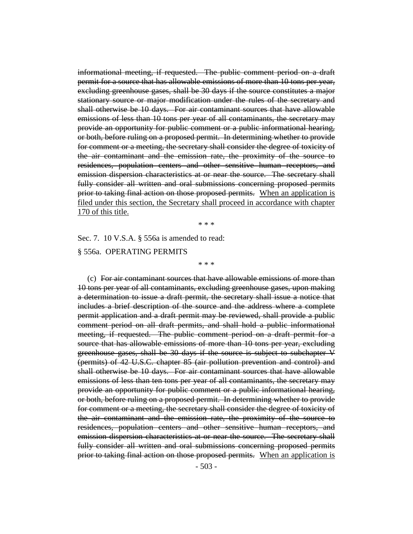informational meeting, if requested. The public comment period on a draft permit for a source that has allowable emissions of more than 10 tons per year, excluding greenhouse gases, shall be 30 days if the source constitutes a major stationary source or major modification under the rules of the secretary and shall otherwise be 10 days. For air contaminant sources that have allowable emissions of less than 10 tons per year of all contaminants, the secretary may provide an opportunity for public comment or a public informational hearing, or both, before ruling on a proposed permit. In determining whether to provide for comment or a meeting, the secretary shall consider the degree of toxicity of the air contaminant and the emission rate, the proximity of the source to residences, population centers and other sensitive human receptors, and emission dispersion characteristics at or near the source. The secretary shall fully consider all written and oral submissions concerning proposed permits prior to taking final action on those proposed permits. When an application is filed under this section, the Secretary shall proceed in accordance with chapter 170 of this title.

\* \* \*

\* \* \*

Sec. 7. 10 V.S.A. § 556a is amended to read: § 556a. OPERATING PERMITS

(c) For air contaminant sources that have allowable emissions of more than 10 tons per year of all contaminants, excluding greenhouse gases, upon making a determination to issue a draft permit, the secretary shall issue a notice that includes a brief description of the source and the address where a complete permit application and a draft permit may be reviewed, shall provide a public comment period on all draft permits, and shall hold a public informational meeting, if requested. The public comment period on a draft permit for a source that has allowable emissions of more than 10 tons per year, excluding greenhouse gases, shall be 30 days if the source is subject to subchapter V (permits) of 42 U.S.C. chapter 85 (air pollution prevention and control) and shall otherwise be 10 days. For air contaminant sources that have allowable emissions of less than ten tons per year of all contaminants, the secretary may provide an opportunity for public comment or a public informational hearing, or both, before ruling on a proposed permit. In determining whether to provide for comment or a meeting, the secretary shall consider the degree of toxicity of the air contaminant and the emission rate, the proximity of the source to residences, population centers and other sensitive human receptors, and emission dispersion characteristics at or near the source. The secretary shall fully consider all written and oral submissions concerning proposed permits prior to taking final action on those proposed permits. When an application is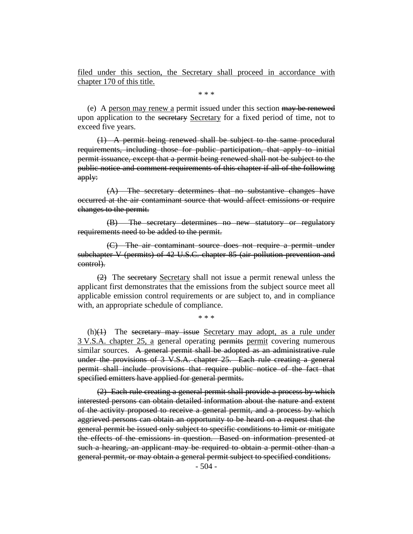filed under this section, the Secretary shall proceed in accordance with chapter 170 of this title.

\* \* \*

(e) A person may renew a permit issued under this section may be renewed upon application to the secretary Secretary for a fixed period of time, not to exceed five years.

(1) A permit being renewed shall be subject to the same procedural requirements, including those for public participation, that apply to initial permit issuance, except that a permit being renewed shall not be subject to the public notice and comment requirements of this chapter if all of the following apply:

(A) The secretary determines that no substantive changes have occurred at the air contaminant source that would affect emissions or require changes to the permit.

(B) The secretary determines no new statutory or regulatory requirements need to be added to the permit.

(C) The air contaminant source does not require a permit under subchapter V (permits) of 42 U.S.C. chapter 85 (air pollution prevention and control).

(2) The secretary Secretary shall not issue a permit renewal unless the applicant first demonstrates that the emissions from the subject source meet all applicable emission control requirements or are subject to, and in compliance with, an appropriate schedule of compliance.

\* \* \*

 $(h)(1)$  The secretary may issue Secretary may adopt, as a rule under 3 V.S.A. chapter 25, a general operating permits permit covering numerous similar sources. A general permit shall be adopted as an administrative rule under the provisions of 3 V.S.A. chapter 25. Each rule creating a general permit shall include provisions that require public notice of the fact that specified emitters have applied for general permits.

(2) Each rule creating a general permit shall provide a process by which interested persons can obtain detailed information about the nature and extent of the activity proposed to receive a general permit, and a process by which aggrieved persons can obtain an opportunity to be heard on a request that the general permit be issued only subject to specific conditions to limit or mitigate the effects of the emissions in question. Based on information presented at such a hearing, an applicant may be required to obtain a permit other than a general permit, or may obtain a general permit subject to specified conditions.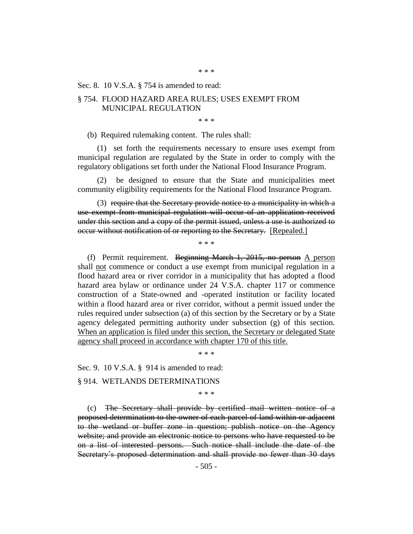\* \* \*

#### Sec. 8. 10 V.S.A. § 754 is amended to read:

#### § 754. FLOOD HAZARD AREA RULES; USES EXEMPT FROM MUNICIPAL REGULATION

\* \* \*

(b) Required rulemaking content. The rules shall:

(1) set forth the requirements necessary to ensure uses exempt from municipal regulation are regulated by the State in order to comply with the regulatory obligations set forth under the National Flood Insurance Program.

(2) be designed to ensure that the State and municipalities meet community eligibility requirements for the National Flood Insurance Program.

(3) require that the Secretary provide notice to a municipality in which a use exempt from municipal regulation will occur of an application received under this section and a copy of the permit issued, unless a use is authorized to occur without notification of or reporting to the Secretary. [Repealed.]

\* \* \*

(f) Permit requirement. Beginning March 1, 2015, no person A person shall not commence or conduct a use exempt from municipal regulation in a flood hazard area or river corridor in a municipality that has adopted a flood hazard area bylaw or ordinance under 24 V.S.A. chapter 117 or commence construction of a State-owned and -operated institution or facility located within a flood hazard area or river corridor, without a permit issued under the rules required under subsection (a) of this section by the Secretary or by a State agency delegated permitting authority under subsection (g) of this section. When an application is filed under this section, the Secretary or delegated State agency shall proceed in accordance with chapter 170 of this title.

\* \* \*

Sec. 9. 10 V.S.A. § 914 is amended to read:

§ 914. WETLANDS DETERMINATIONS

\* \* \*

(c) The Secretary shall provide by certified mail written notice of a proposed determination to the owner of each parcel of land within or adjacent to the wetland or buffer zone in question; publish notice on the Agency website; and provide an electronic notice to persons who have requested to be on a list of interested persons. Such notice shall include the date of the Secretary's proposed determination and shall provide no fewer than 30 days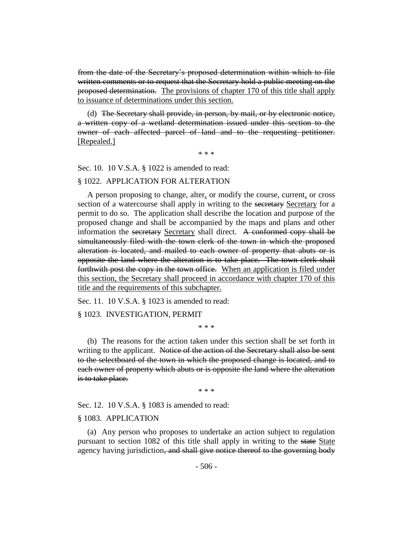from the date of the Secretary's proposed determination within which to file written comments or to request that the Secretary hold a public meeting on the proposed determination. The provisions of chapter 170 of this title shall apply to issuance of determinations under this section.

(d) The Secretary shall provide, in person, by mail, or by electronic notice, a written copy of a wetland determination issued under this section to the owner of each affected parcel of land and to the requesting petitioner. [Repealed.]

\* \* \*

Sec. 10. 10 V.S.A. § 1022 is amended to read:

#### § 1022. APPLICATION FOR ALTERATION

A person proposing to change, alter, or modify the course, current, or cross section of a watercourse shall apply in writing to the secretary Secretary for a permit to do so. The application shall describe the location and purpose of the proposed change and shall be accompanied by the maps and plans and other information the secretary Secretary shall direct. A conformed copy shall be simultaneously filed with the town clerk of the town in which the proposed alteration is located, and mailed to each owner of property that abuts or is opposite the land where the alteration is to take place. The town clerk shall forthwith post the copy in the town office. When an application is filed under this section, the Secretary shall proceed in accordance with chapter 170 of this title and the requirements of this subchapter.

Sec. 11. 10 V.S.A. § 1023 is amended to read:

§ 1023. INVESTIGATION, PERMIT

\* \* \*

(b) The reasons for the action taken under this section shall be set forth in writing to the applicant. Notice of the action of the Secretary shall also be sent to the selectboard of the town in which the proposed change is located, and to each owner of property which abuts or is opposite the land where the alteration is to take place.

\* \* \*

Sec. 12. 10 V.S.A. § 1083 is amended to read:

#### § 1083. APPLICATION

(a) Any person who proposes to undertake an action subject to regulation pursuant to section 1082 of this title shall apply in writing to the state State agency having jurisdiction, and shall give notice thereof to the governing body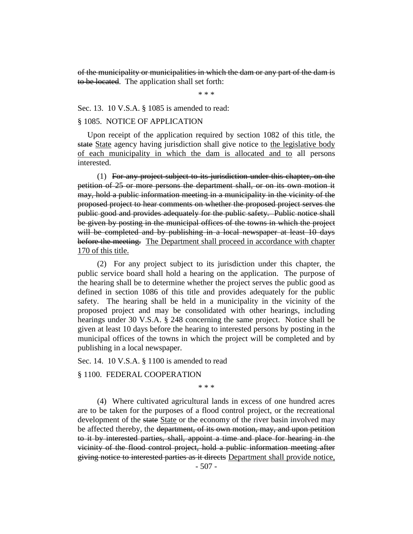of the municipality or municipalities in which the dam or any part of the dam is to be located. The application shall set forth:

\* \* \*

Sec. 13. 10 V.S.A. § 1085 is amended to read:

#### § 1085. NOTICE OF APPLICATION

Upon receipt of the application required by section 1082 of this title, the state State agency having jurisdiction shall give notice to the legislative body of each municipality in which the dam is allocated and to all persons interested.

(1) For any project subject to its jurisdiction under this chapter, on the petition of 25 or more persons the department shall, or on its own motion it may, hold a public information meeting in a municipality in the vicinity of the proposed project to hear comments on whether the proposed project serves the public good and provides adequately for the public safety. Public notice shall be given by posting in the municipal offices of the towns in which the project will be completed and by publishing in a local newspaper at least 10 days before the meeting. The Department shall proceed in accordance with chapter 170 of this title.

(2) For any project subject to its jurisdiction under this chapter, the public service board shall hold a hearing on the application. The purpose of the hearing shall be to determine whether the project serves the public good as defined in section 1086 of this title and provides adequately for the public safety. The hearing shall be held in a municipality in the vicinity of the proposed project and may be consolidated with other hearings, including hearings under 30 V.S.A. § 248 concerning the same project. Notice shall be given at least 10 days before the hearing to interested persons by posting in the municipal offices of the towns in which the project will be completed and by publishing in a local newspaper.

Sec. 14. 10 V.S.A. § 1100 is amended to read

#### § 1100. FEDERAL COOPERATION

\* \* \*

(4) Where cultivated agricultural lands in excess of one hundred acres are to be taken for the purposes of a flood control project, or the recreational development of the state State or the economy of the river basin involved may be affected thereby, the department, of its own motion, may, and upon petition to it by interested parties, shall, appoint a time and place for hearing in the vicinity of the flood control project, hold a public information meeting after giving notice to interested parties as it directs Department shall provide notice,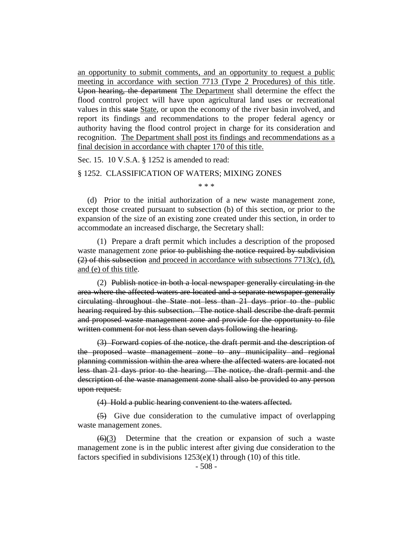an opportunity to submit comments, and an opportunity to request a public meeting in accordance with section 7713 (Type 2 Procedures) of this title. Upon hearing, the department The Department shall determine the effect the flood control project will have upon agricultural land uses or recreational values in this state State, or upon the economy of the river basin involved, and report its findings and recommendations to the proper federal agency or authority having the flood control project in charge for its consideration and recognition. The Department shall post its findings and recommendations as a final decision in accordance with chapter 170 of this title.

Sec. 15. 10 V.S.A. § 1252 is amended to read:

## § 1252. CLASSIFICATION OF WATERS; MIXING ZONES

\* \* \*

(d) Prior to the initial authorization of a new waste management zone, except those created pursuant to subsection (b) of this section, or prior to the expansion of the size of an existing zone created under this section, in order to accommodate an increased discharge, the Secretary shall:

(1) Prepare a draft permit which includes a description of the proposed waste management zone prior to publishing the notice required by subdivision  $(2)$  of this subsection and proceed in accordance with subsections 7713(c), (d), and (e) of this title.

(2) Publish notice in both a local newspaper generally circulating in the area where the affected waters are located and a separate newspaper generally circulating throughout the State not less than 21 days prior to the public hearing required by this subsection. The notice shall describe the draft permit and proposed waste management zone and provide for the opportunity to file written comment for not less than seven days following the hearing.

(3) Forward copies of the notice, the draft permit and the description of the proposed waste management zone to any municipality and regional planning commission within the area where the affected waters are located not less than 21 days prior to the hearing. The notice, the draft permit and the description of the waste management zone shall also be provided to any person upon request.

(4) Hold a public hearing convenient to the waters affected.

(5) Give due consideration to the cumulative impact of overlapping waste management zones.

 $(6)(3)$  Determine that the creation or expansion of such a waste management zone is in the public interest after giving due consideration to the factors specified in subdivisions 1253(e)(1) through (10) of this title.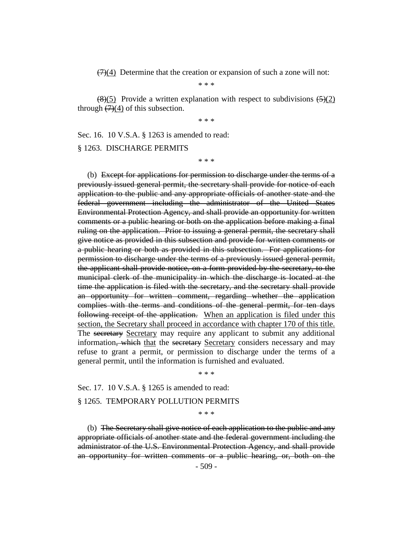$(7)(4)$  Determine that the creation or expansion of such a zone will not:

\* \* \*

 $\left(\frac{8}{5}\right)$  Provide a written explanation with respect to subdivisions  $\left(\frac{5}{2}\right)$ through  $(7)(4)$  of this subsection.

\* \* \*

Sec. 16. 10 V.S.A. § 1263 is amended to read:

§ 1263. DISCHARGE PERMITS

\* \* \*

(b) Except for applications for permission to discharge under the terms of a previously issued general permit, the secretary shall provide for notice of each application to the public and any appropriate officials of another state and the federal government including the administrator of the United States Environmental Protection Agency, and shall provide an opportunity for written comments or a public hearing or both on the application before making a final ruling on the application. Prior to issuing a general permit, the secretary shall give notice as provided in this subsection and provide for written comments or a public hearing or both as provided in this subsection. For applications for permission to discharge under the terms of a previously issued general permit, the applicant shall provide notice, on a form provided by the secretary, to the municipal clerk of the municipality in which the discharge is located at the time the application is filed with the secretary, and the secretary shall provide an opportunity for written comment, regarding whether the application complies with the terms and conditions of the general permit, for ten days following receipt of the application. When an application is filed under this section, the Secretary shall proceed in accordance with chapter 170 of this title. The secretary Secretary may require any applicant to submit any additional information, which that the secretary Secretary considers necessary and may refuse to grant a permit, or permission to discharge under the terms of a general permit, until the information is furnished and evaluated.

\* \* \*

Sec. 17. 10 V.S.A. § 1265 is amended to read:

#### § 1265. TEMPORARY POLLUTION PERMITS

\* \* \*

(b) The Secretary shall give notice of each application to the public and any appropriate officials of another state and the federal government including the administrator of the U.S. Environmental Protection Agency, and shall provide an opportunity for written comments or a public hearing, or, both on the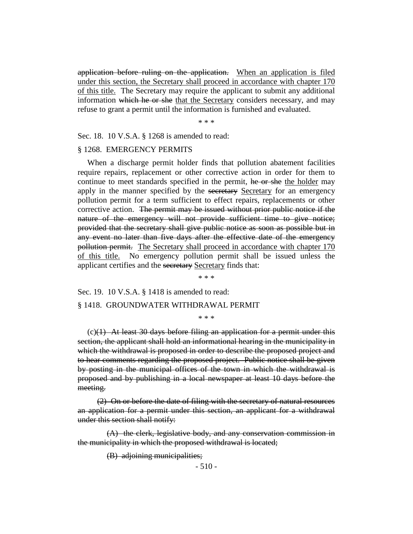application before ruling on the application. When an application is filed under this section, the Secretary shall proceed in accordance with chapter 170 of this title. The Secretary may require the applicant to submit any additional information which he or she that the Secretary considers necessary, and may refuse to grant a permit until the information is furnished and evaluated.

\* \* \*

Sec. 18. 10 V.S.A. § 1268 is amended to read:

## § 1268. EMERGENCY PERMITS

When a discharge permit holder finds that pollution abatement facilities require repairs, replacement or other corrective action in order for them to continue to meet standards specified in the permit, he or she the holder may apply in the manner specified by the secretary Secretary for an emergency pollution permit for a term sufficient to effect repairs, replacements or other corrective action. The permit may be issued without prior public notice if the nature of the emergency will not provide sufficient time to give notice; provided that the secretary shall give public notice as soon as possible but in any event no later than five days after the effective date of the emergency pollution permit. The Secretary shall proceed in accordance with chapter 170 of this title. No emergency pollution permit shall be issued unless the applicant certifies and the secretary Secretary finds that:

\* \* \*

Sec. 19. 10 V.S.A. § 1418 is amended to read:

#### § 1418. GROUNDWATER WITHDRAWAL PERMIT

\* \* \*

 $(c)(1)$  At least 30 days before filing an application for a permit under this section, the applicant shall hold an informational hearing in the municipality in which the withdrawal is proposed in order to describe the proposed project and to hear comments regarding the proposed project. Public notice shall be given by posting in the municipal offices of the town in which the withdrawal is proposed and by publishing in a local newspaper at least 10 days before the meeting.

(2) On or before the date of filing with the secretary of natural resources an application for a permit under this section, an applicant for a withdrawal under this section shall notify:

(A) the clerk, legislative body, and any conservation commission in the municipality in which the proposed withdrawal is located;

(B) adjoining municipalities;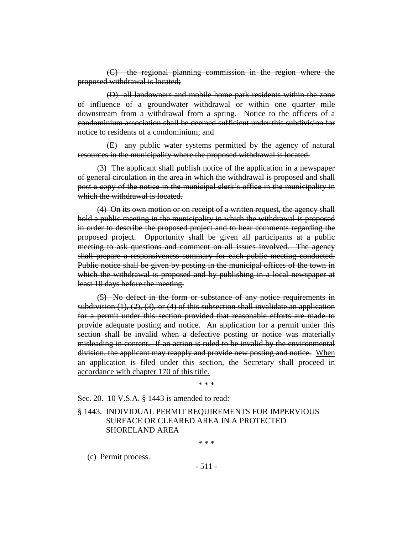(C) the regional planning commission in the region where the proposed withdrawal is located;

(D) all landowners and mobile home park residents within the zone of influence of a groundwater withdrawal or within one quarter mile downstream from a withdrawal from a spring. Notice to the officers of a condominium association shall be deemed sufficient under this subdivision for notice to residents of a condominium; and

(E) any public water systems permitted by the agency of natural resources in the municipality where the proposed withdrawal is located.

(3) The applicant shall publish notice of the application in a newspaper of general circulation in the area in which the withdrawal is proposed and shall post a copy of the notice in the municipal clerk's office in the municipality in which the withdrawal is located.

(4) On its own motion or on receipt of a written request, the agency shall hold a public meeting in the municipality in which the withdrawal is proposed in order to describe the proposed project and to hear comments regarding the proposed project. Opportunity shall be given all participants at a public meeting to ask questions and comment on all issues involved. The agency shall prepare a responsiveness summary for each public meeting conducted. Public notice shall be given by posting in the municipal offices of the town in which the withdrawal is proposed and by publishing in a local newspaper at least 10 days before the meeting.

(5) No defect in the form or substance of any notice requirements in subdivision  $(1), (2), (3)$ , or  $(4)$  of this subsection shall invalidate an application for a permit under this section provided that reasonable efforts are made to provide adequate posting and notice. An application for a permit under this section shall be invalid when a defective posting or notice was materially misleading in content. If an action is ruled to be invalid by the environmental division, the applicant may reapply and provide new posting and notice. When an application is filed under this section, the Secretary shall proceed in accordance with chapter 170 of this title.

\* \* \*

Sec. 20. 10 V.S.A. § 1443 is amended to read:

§ 1443. INDIVIDUAL PERMIT REQUIREMENTS FOR IMPERVIOUS SURFACE OR CLEARED AREA IN A PROTECTED SHORELAND AREA

\* \* \*

(c) Permit process.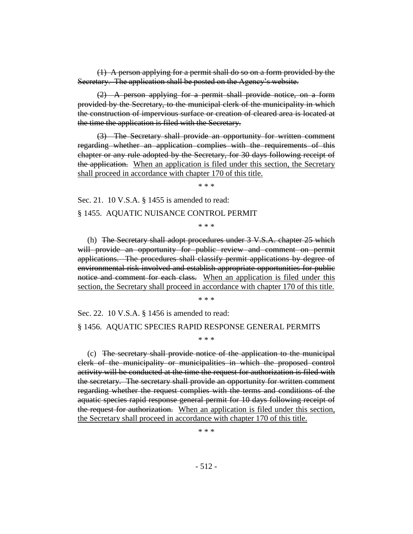(1) A person applying for a permit shall do so on a form provided by the Secretary. The application shall be posted on the Agency's website.

(2) A person applying for a permit shall provide notice, on a form provided by the Secretary, to the municipal clerk of the municipality in which the construction of impervious surface or creation of cleared area is located at the time the application is filed with the Secretary.

(3) The Secretary shall provide an opportunity for written comment regarding whether an application complies with the requirements of this chapter or any rule adopted by the Secretary, for 30 days following receipt of the application. When an application is filed under this section, the Secretary shall proceed in accordance with chapter 170 of this title.

\* \* \*

Sec. 21. 10 V.S.A. § 1455 is amended to read:

§ 1455. AQUATIC NUISANCE CONTROL PERMIT

\* \* \*

(h) The Secretary shall adopt procedures under 3 V.S.A. chapter 25 which will provide an opportunity for public review and comment on permit applications. The procedures shall classify permit applications by degree of environmental risk involved and establish appropriate opportunities for public notice and comment for each class. When an application is filed under this section, the Secretary shall proceed in accordance with chapter 170 of this title.

\* \* \*

Sec. 22. 10 V.S.A. § 1456 is amended to read:

#### § 1456. AQUATIC SPECIES RAPID RESPONSE GENERAL PERMITS

\* \* \*

(c) The secretary shall provide notice of the application to the municipal clerk of the municipality or municipalities in which the proposed control activity will be conducted at the time the request for authorization is filed with the secretary. The secretary shall provide an opportunity for written comment regarding whether the request complies with the terms and conditions of the aquatic species rapid response general permit for 10 days following receipt of the request for authorization. When an application is filed under this section, the Secretary shall proceed in accordance with chapter 170 of this title.

\* \* \*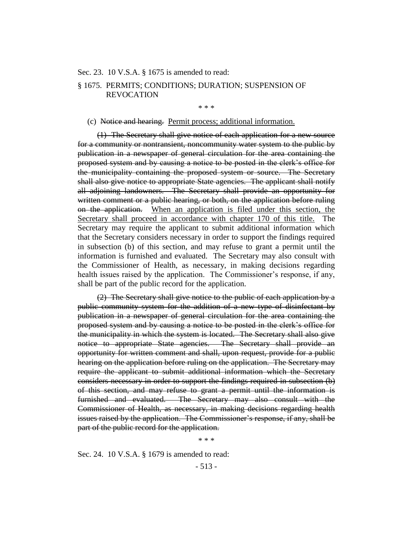#### Sec. 23. 10 V.S.A. § 1675 is amended to read:

## § 1675. PERMITS; CONDITIONS; DURATION; SUSPENSION OF REVOCATION

\* \* \*

#### (c) Notice and hearing. Permit process; additional information.

(1) The Secretary shall give notice of each application for a new source for a community or nontransient, noncommunity water system to the public by publication in a newspaper of general circulation for the area containing the proposed system and by causing a notice to be posted in the clerk's office for the municipality containing the proposed system or source. The Secretary shall also give notice to appropriate State agencies. The applicant shall notify all adjoining landowners. The Secretary shall provide an opportunity for written comment or a public hearing, or both, on the application before ruling on the application. When an application is filed under this section, the Secretary shall proceed in accordance with chapter 170 of this title. The Secretary may require the applicant to submit additional information which that the Secretary considers necessary in order to support the findings required in subsection (b) of this section, and may refuse to grant a permit until the information is furnished and evaluated. The Secretary may also consult with the Commissioner of Health, as necessary, in making decisions regarding health issues raised by the application. The Commissioner's response, if any, shall be part of the public record for the application.

(2) The Secretary shall give notice to the public of each application by a public community system for the addition of a new type of disinfectant by publication in a newspaper of general circulation for the area containing the proposed system and by causing a notice to be posted in the clerk's office for the municipality in which the system is located. The Secretary shall also give notice to appropriate State agencies. The Secretary shall provide an opportunity for written comment and shall, upon request, provide for a public hearing on the application before ruling on the application. The Secretary may require the applicant to submit additional information which the Secretary considers necessary in order to support the findings required in subsection (b) of this section, and may refuse to grant a permit until the information is furnished and evaluated. The Secretary may also consult with the Commissioner of Health, as necessary, in making decisions regarding health issues raised by the application. The Commissioner's response, if any, shall be part of the public record for the application.

\* \* \*

Sec. 24. 10 V.S.A. § 1679 is amended to read: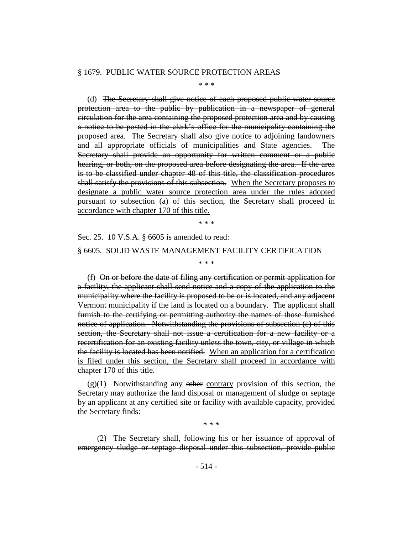#### § 1679. PUBLIC WATER SOURCE PROTECTION AREAS

\* \* \*

(d) The Secretary shall give notice of each proposed public water source protection area to the public by publication in a newspaper of general circulation for the area containing the proposed protection area and by causing a notice to be posted in the clerk's office for the municipality containing the proposed area. The Secretary shall also give notice to adjoining landowners and all appropriate officials of municipalities and State agencies. The Secretary shall provide an opportunity for written comment or a public hearing, or both, on the proposed area before designating the area. If the area is to be classified under chapter 48 of this title, the classification procedures shall satisfy the provisions of this subsection. When the Secretary proposes to designate a public water source protection area under the rules adopted pursuant to subsection (a) of this section, the Secretary shall proceed in accordance with chapter 170 of this title.

\* \* \*

\* \* \*

Sec. 25. 10 V.S.A. § 6605 is amended to read: § 6605. SOLID WASTE MANAGEMENT FACILITY CERTIFICATION

(f) On or before the date of filing any certification or permit application for a facility, the applicant shall send notice and a copy of the application to the municipality where the facility is proposed to be or is located, and any adjacent Vermont municipality if the land is located on a boundary. The applicant shall furnish to the certifying or permitting authority the names of those furnished notice of application. Notwithstanding the provisions of subsection (c) of this section, the Secretary shall not issue a certification for a new facility or a recertification for an existing facility unless the town, city, or village in which the facility is located has been notified. When an application for a certification is filed under this section, the Secretary shall proceed in accordance with chapter 170 of this title.

 $(g)(1)$  Notwithstanding any other contrary provision of this section, the Secretary may authorize the land disposal or management of sludge or septage by an applicant at any certified site or facility with available capacity, provided the Secretary finds:

\* \* \*

(2) The Secretary shall, following his or her issuance of approval of emergency sludge or septage disposal under this subsection, provide public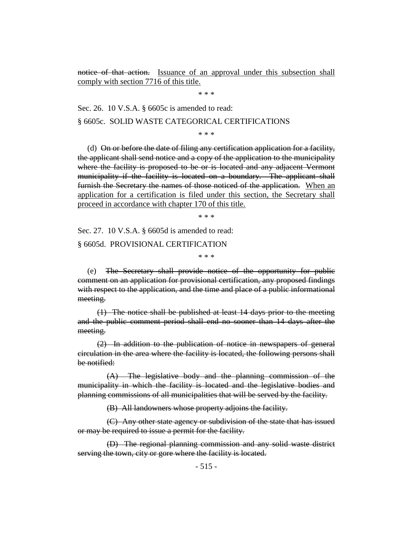notice of that action. Issuance of an approval under this subsection shall comply with section 7716 of this title.

\* \* \*

Sec. 26. 10 V.S.A. § 6605c is amended to read:

§ 6605c. SOLID WASTE CATEGORICAL CERTIFICATIONS

\* \* \*

(d) On or before the date of filing any certification application for a facility, the applicant shall send notice and a copy of the application to the municipality where the facility is proposed to be or is located and any adjacent Vermont municipality if the facility is located on a boundary. The applicant shall furnish the Secretary the names of those noticed of the application. When an application for a certification is filed under this section, the Secretary shall proceed in accordance with chapter 170 of this title.

\* \* \*

Sec. 27. 10 V.S.A. § 6605d is amended to read: § 6605d. PROVISIONAL CERTIFICATION

\* \* \*

(e) The Secretary shall provide notice of the opportunity for public comment on an application for provisional certification, any proposed findings with respect to the application, and the time and place of a public informational meeting.

(1) The notice shall be published at least 14 days prior to the meeting and the public comment period shall end no sooner than 14 days after the meeting.

(2) In addition to the publication of notice in newspapers of general circulation in the area where the facility is located, the following persons shall be notified:

(A) The legislative body and the planning commission of the municipality in which the facility is located and the legislative bodies and planning commissions of all municipalities that will be served by the facility.

(B) All landowners whose property adjoins the facility.

(C) Any other state agency or subdivision of the state that has issued or may be required to issue a permit for the facility.

(D) The regional planning commission and any solid waste district serving the town, city or gore where the facility is located.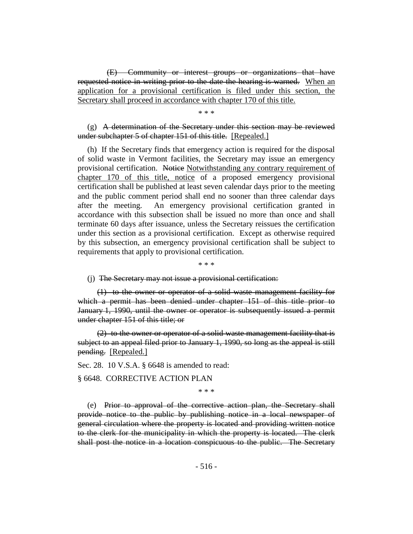(E) Community or interest groups or organizations that have requested notice in writing prior to the date the hearing is warned. When an application for a provisional certification is filed under this section, the Secretary shall proceed in accordance with chapter 170 of this title.

\* \* \*

## $(g)$  A determination of the Secretary under this section may be reviewed under subchapter 5 of chapter 151 of this title. [Repealed.]

(h) If the Secretary finds that emergency action is required for the disposal of solid waste in Vermont facilities, the Secretary may issue an emergency provisional certification. Notice Notwithstanding any contrary requirement of chapter 170 of this title, notice of a proposed emergency provisional certification shall be published at least seven calendar days prior to the meeting and the public comment period shall end no sooner than three calendar days after the meeting. An emergency provisional certification granted in accordance with this subsection shall be issued no more than once and shall terminate 60 days after issuance, unless the Secretary reissues the certification under this section as a provisional certification. Except as otherwise required by this subsection, an emergency provisional certification shall be subject to requirements that apply to provisional certification.

\* \* \*

#### (j) The Secretary may not issue a provisional certification:

(1) to the owner or operator of a solid waste management facility for which a permit has been denied under chapter 151 of this title prior to January 1, 1990, until the owner or operator is subsequently issued a permit under chapter 151 of this title; or

(2) to the owner or operator of a solid waste management facility that is subject to an appeal filed prior to January 1, 1990, so long as the appeal is still pending. [Repealed.]

Sec. 28. 10 V.S.A. § 6648 is amended to read:

§ 6648. CORRECTIVE ACTION PLAN

\* \* \*

(e) Prior to approval of the corrective action plan, the Secretary shall provide notice to the public by publishing notice in a local newspaper of general circulation where the property is located and providing written notice to the clerk for the municipality in which the property is located. The clerk shall post the notice in a location conspicuous to the public. The Secretary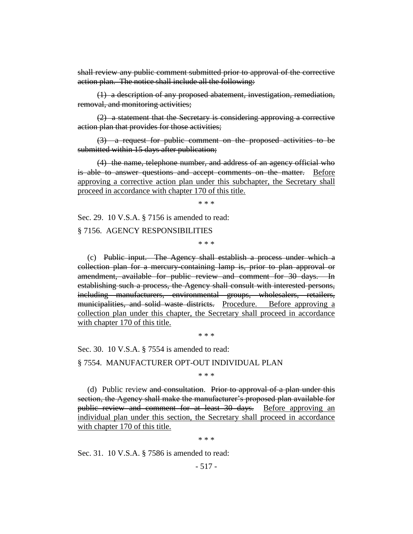shall review any public comment submitted prior to approval of the corrective action plan. The notice shall include all the following:

(1) a description of any proposed abatement, investigation, remediation, removal, and monitoring activities;

(2) a statement that the Secretary is considering approving a corrective action plan that provides for those activities;

(3) a request for public comment on the proposed activities to be submitted within 15 days after publication;

(4) the name, telephone number, and address of an agency official who is able to answer questions and accept comments on the matter. Before approving a corrective action plan under this subchapter, the Secretary shall proceed in accordance with chapter 170 of this title.

\* \* \*

Sec. 29. 10 V.S.A. § 7156 is amended to read:

§ 7156. AGENCY RESPONSIBILITIES

\* \* \*

(c) Public input. The Agency shall establish a process under which a collection plan for a mercury-containing lamp is, prior to plan approval or amendment, available for public review and comment for 30 days. In establishing such a process, the Agency shall consult with interested persons, including manufacturers, environmental groups, wholesalers, retailers, municipalities, and solid waste districts. Procedure. Before approving a collection plan under this chapter, the Secretary shall proceed in accordance with chapter 170 of this title.

\* \* \*

Sec. 30. 10 V.S.A. § 7554 is amended to read:

§ 7554. MANUFACTURER OPT-OUT INDIVIDUAL PLAN

\* \* \*

(d) Public review and consultation. Prior to approval of a plan under this section, the Agency shall make the manufacturer's proposed plan available for public review and comment for at least 30 days. Before approving an individual plan under this section, the Secretary shall proceed in accordance with chapter 170 of this title.

\* \* \*

Sec. 31. 10 V.S.A. § 7586 is amended to read: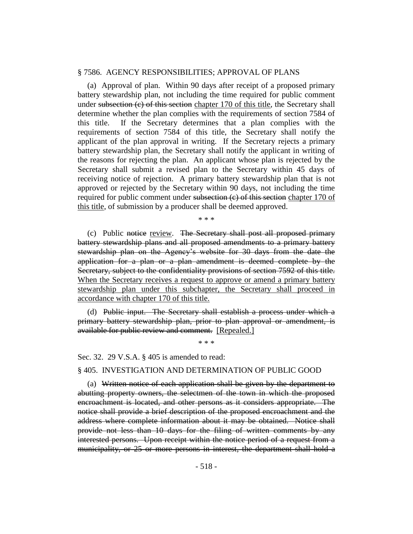#### § 7586. AGENCY RESPONSIBILITIES; APPROVAL OF PLANS

(a) Approval of plan. Within 90 days after receipt of a proposed primary battery stewardship plan, not including the time required for public comment under subsection  $(c)$  of this section chapter 170 of this title, the Secretary shall determine whether the plan complies with the requirements of section 7584 of this title. If the Secretary determines that a plan complies with the requirements of section 7584 of this title, the Secretary shall notify the applicant of the plan approval in writing. If the Secretary rejects a primary battery stewardship plan, the Secretary shall notify the applicant in writing of the reasons for rejecting the plan. An applicant whose plan is rejected by the Secretary shall submit a revised plan to the Secretary within 45 days of receiving notice of rejection. A primary battery stewardship plan that is not approved or rejected by the Secretary within 90 days, not including the time required for public comment under subsection (e) of this section chapter 170 of this title, of submission by a producer shall be deemed approved.

\* \* \*

(c) Public notice review. The Secretary shall post all proposed primary battery stewardship plans and all proposed amendments to a primary battery stewardship plan on the Agency's website for 30 days from the date the application for a plan or a plan amendment is deemed complete by the Secretary, subject to the confidentiality provisions of section 7592 of this title. When the Secretary receives a request to approve or amend a primary battery stewardship plan under this subchapter, the Secretary shall proceed in accordance with chapter 170 of this title.

(d) Public input. The Secretary shall establish a process under which a primary battery stewardship plan, prior to plan approval or amendment, is available for public review and comment. [Repealed.]

\* \* \*

Sec. 32. 29 V.S.A. § 405 is amended to read:

#### § 405. INVESTIGATION AND DETERMINATION OF PUBLIC GOOD

(a) Written notice of each application shall be given by the department to abutting property owners, the selectmen of the town in which the proposed encroachment is located, and other persons as it considers appropriate. The notice shall provide a brief description of the proposed encroachment and the address where complete information about it may be obtained. Notice shall provide not less than 10 days for the filing of written comments by any interested persons. Upon receipt within the notice period of a request from a municipality, or 25 or more persons in interest, the department shall hold a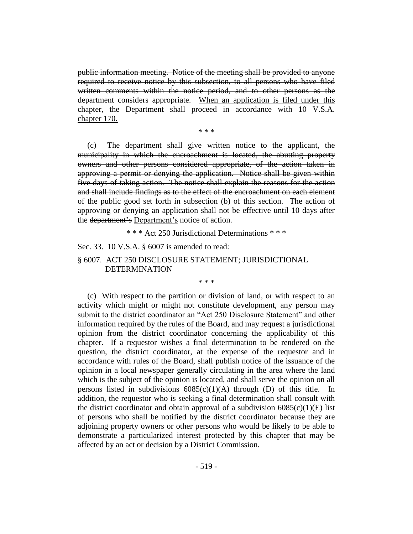public information meeting. Notice of the meeting shall be provided to anyone required to receive notice by this subsection, to all persons who have filed written comments within the notice period, and to other persons as the department considers appropriate. When an application is filed under this chapter, the Department shall proceed in accordance with 10 V.S.A. chapter 170.

\* \* \*

(c) The department shall give written notice to the applicant, the municipality in which the encroachment is located, the abutting property owners and other persons considered appropriate, of the action taken in approving a permit or denying the application. Notice shall be given within five days of taking action. The notice shall explain the reasons for the action and shall include findings as to the effect of the encroachment on each element of the public good set forth in subsection (b) of this section. The action of approving or denying an application shall not be effective until 10 days after the department's Department's notice of action.

\* \* \* Act 250 Jurisdictional Determinations \* \* \*

Sec. 33. 10 V.S.A. § 6007 is amended to read:

## § 6007. ACT 250 DISCLOSURE STATEMENT; JURISDICTIONAL DETERMINATION

\* \* \*

(c) With respect to the partition or division of land, or with respect to an activity which might or might not constitute development, any person may submit to the district coordinator an "Act 250 Disclosure Statement" and other information required by the rules of the Board, and may request a jurisdictional opinion from the district coordinator concerning the applicability of this chapter. If a requestor wishes a final determination to be rendered on the question, the district coordinator, at the expense of the requestor and in accordance with rules of the Board, shall publish notice of the issuance of the opinion in a local newspaper generally circulating in the area where the land which is the subject of the opinion is located, and shall serve the opinion on all persons listed in subdivisions  $6085(c)(1)(A)$  through (D) of this title. In addition, the requestor who is seeking a final determination shall consult with the district coordinator and obtain approval of a subdivision  $6085(c)(1)(E)$  list of persons who shall be notified by the district coordinator because they are adjoining property owners or other persons who would be likely to be able to demonstrate a particularized interest protected by this chapter that may be affected by an act or decision by a District Commission.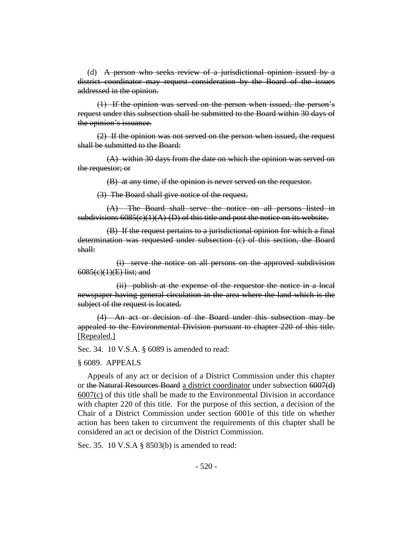(d) A person who seeks review of a jurisdictional opinion issued by a district coordinator may request consideration by the Board of the issues addressed in the opinion.

(1) If the opinion was served on the person when issued, the person's request under this subsection shall be submitted to the Board within 30 days of the opinion's issuance.

(2) If the opinion was not served on the person when issued, the request shall be submitted to the Board:

(A) within 30 days from the date on which the opinion was served on the requestor; or

(B) at any time, if the opinion is never served on the requestor.

(3) The Board shall give notice of the request.

(A) The Board shall serve the notice on all persons listed in subdivisions  $6085(c)(1)(A)$ -(D) of this title and post the notice on its website.

(B) If the request pertains to a jurisdictional opinion for which a final determination was requested under subsection (c) of this section, the Board shall:

(i) serve the notice on all persons on the approved subdivision 6085(c)(1)(E) list; and

(ii) publish at the expense of the requestor the notice in a local newspaper having general circulation in the area where the land which is the subject of the request is located.

(4) An act or decision of the Board under this subsection may be appealed to the Environmental Division pursuant to chapter 220 of this title. [Repealed.]

Sec. 34. 10 V.S.A. § 6089 is amended to read:

#### § 6089. APPEALS

Appeals of any act or decision of a District Commission under this chapter or the Natural Resources Board a district coordinator under subsection 6007(d) 6007(c) of this title shall be made to the Environmental Division in accordance with chapter 220 of this title. For the purpose of this section, a decision of the Chair of a District Commission under section 6001e of this title on whether action has been taken to circumvent the requirements of this chapter shall be considered an act or decision of the District Commission.

Sec. 35. 10 V.S.A § 8503(b) is amended to read: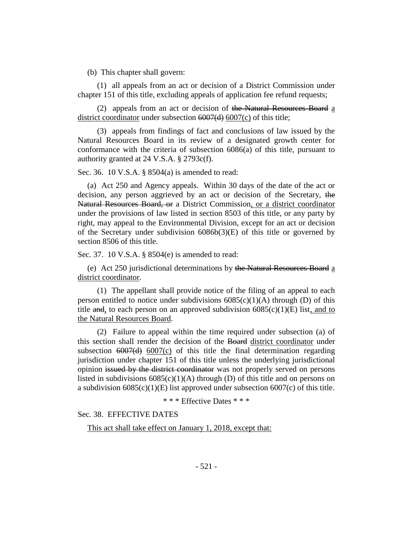(b) This chapter shall govern:

(1) all appeals from an act or decision of a District Commission under chapter 151 of this title, excluding appeals of application fee refund requests;

(2) appeals from an act or decision of the Natural Resources Board a district coordinator under subsection 6007(d) 6007(c) of this title;

(3) appeals from findings of fact and conclusions of law issued by the Natural Resources Board in its review of a designated growth center for conformance with the criteria of subsection 6086(a) of this title, pursuant to authority granted at 24 V.S.A. § 2793c(f).

Sec. 36. 10 V.S.A. § 8504(a) is amended to read:

(a) Act 250 and Agency appeals. Within 30 days of the date of the act or decision, any person aggrieved by an act or decision of the Secretary, the Natural Resources Board, or a District Commission, or a district coordinator under the provisions of law listed in section 8503 of this title, or any party by right, may appeal to the Environmental Division, except for an act or decision of the Secretary under subdivision 6086b(3)(E) of this title or governed by section 8506 of this title.

Sec. 37. 10 V.S.A. § 8504(e) is amended to read:

(e) Act 250 jurisdictional determinations by the Natural Resources Board a district coordinator.

(1) The appellant shall provide notice of the filing of an appeal to each person entitled to notice under subdivisions  $6085(c)(1)(A)$  through (D) of this title and, to each person on an approved subdivision  $6085(c)(1)(E)$  list, and to the Natural Resources Board.

(2) Failure to appeal within the time required under subsection (a) of this section shall render the decision of the Board district coordinator under subsection  $6007(d)$   $6007(c)$  of this title the final determination regarding jurisdiction under chapter 151 of this title unless the underlying jurisdictional opinion issued by the district coordinator was not properly served on persons listed in subdivisions  $6085(c)(1)(A)$  through (D) of this title and on persons on a subdivision  $6085(c)(1)(E)$  list approved under subsection  $6007(c)$  of this title.

\* \* \* Effective Dates \* \* \*

Sec. 38. EFFECTIVE DATES

This act shall take effect on January 1, 2018, except that: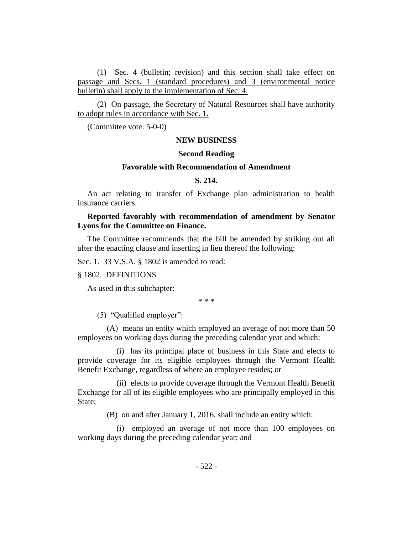(1) Sec. 4 (bulletin; revision) and this section shall take effect on passage and Secs. 1 (standard procedures) and 3 (environmental notice bulletin) shall apply to the implementation of Sec. 4.

(2) On passage, the Secretary of Natural Resources shall have authority to adopt rules in accordance with Sec. 1.

(Committee vote: 5-0-0)

## **NEW BUSINESS**

#### **Second Reading**

#### **Favorable with Recommendation of Amendment**

#### **S. 214.**

An act relating to transfer of Exchange plan administration to health insurance carriers.

## **Reported favorably with recommendation of amendment by Senator Lyons for the Committee on Finance.**

The Committee recommends that the bill be amended by striking out all after the enacting clause and inserting in lieu thereof the following:

Sec. 1. 33 V.S.A. § 1802 is amended to read:

#### § 1802. DEFINITIONS

As used in this subchapter:

\* \* \*

(5) "Qualified employer":

(A) means an entity which employed an average of not more than 50 employees on working days during the preceding calendar year and which:

(i) has its principal place of business in this State and elects to provide coverage for its eligible employees through the Vermont Health Benefit Exchange, regardless of where an employee resides; or

(ii) elects to provide coverage through the Vermont Health Benefit Exchange for all of its eligible employees who are principally employed in this State:

(B) on and after January 1, 2016, shall include an entity which:

(i) employed an average of not more than 100 employees on working days during the preceding calendar year; and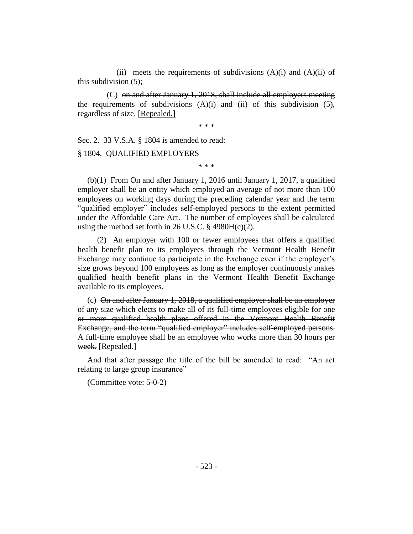(ii) meets the requirements of subdivisions  $(A)(i)$  and  $(A)(ii)$  of this subdivision (5);

(C) on and after January 1, 2018, shall include all employers meeting the requirements of subdivisions  $(A)(i)$  and (ii) of this subdivision (5), regardless of size. [Repealed.]

\* \* \*

Sec. 2. 33 V.S.A. § 1804 is amended to read:

§ 1804. QUALIFIED EMPLOYERS

\* \* \*

(b)(1) From On and after January 1, 2016 until January 1, 2017, a qualified employer shall be an entity which employed an average of not more than 100 employees on working days during the preceding calendar year and the term "qualified employer" includes self-employed persons to the extent permitted under the Affordable Care Act. The number of employees shall be calculated using the method set forth in 26 U.S.C.  $\S$  4980H(c)(2).

(2) An employer with 100 or fewer employees that offers a qualified health benefit plan to its employees through the Vermont Health Benefit Exchange may continue to participate in the Exchange even if the employer's size grows beyond 100 employees as long as the employer continuously makes qualified health benefit plans in the Vermont Health Benefit Exchange available to its employees.

(c) On and after January 1, 2018, a qualified employer shall be an employer of any size which elects to make all of its full-time employees eligible for one or more qualified health plans offered in the Vermont Health Benefit Exchange, and the term "qualified employer" includes self-employed persons. A full-time employee shall be an employee who works more than 30 hours per week. [Repealed.]

And that after passage the title of the bill be amended to read: "An act relating to large group insurance"

(Committee vote: 5-0-2)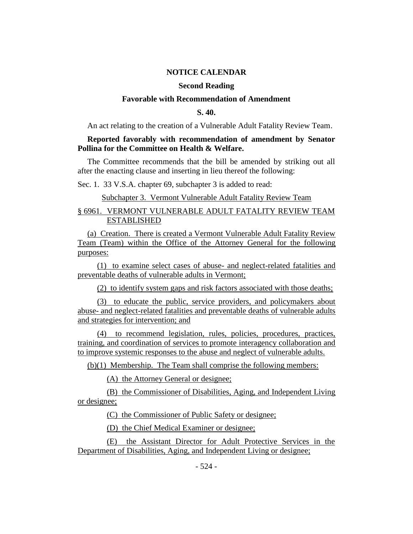#### **NOTICE CALENDAR**

#### **Second Reading**

#### **Favorable with Recommendation of Amendment**

## **S. 40.**

An act relating to the creation of a Vulnerable Adult Fatality Review Team.

## **Reported favorably with recommendation of amendment by Senator Pollina for the Committee on Health & Welfare.**

The Committee recommends that the bill be amended by striking out all after the enacting clause and inserting in lieu thereof the following:

Sec. 1. 33 V.S.A. chapter 69, subchapter 3 is added to read:

#### Subchapter 3. Vermont Vulnerable Adult Fatality Review Team

## § 6961. VERMONT VULNERABLE ADULT FATALITY REVIEW TEAM ESTABLISHED

(a) Creation. There is created a Vermont Vulnerable Adult Fatality Review Team (Team) within the Office of the Attorney General for the following purposes:

(1) to examine select cases of abuse- and neglect-related fatalities and preventable deaths of vulnerable adults in Vermont;

(2) to identify system gaps and risk factors associated with those deaths;

(3) to educate the public, service providers, and policymakers about abuse- and neglect-related fatalities and preventable deaths of vulnerable adults and strategies for intervention; and

(4) to recommend legislation, rules, policies, procedures, practices, training, and coordination of services to promote interagency collaboration and to improve systemic responses to the abuse and neglect of vulnerable adults.

(b)(1) Membership. The Team shall comprise the following members:

(A) the Attorney General or designee;

(B) the Commissioner of Disabilities, Aging, and Independent Living or designee;

(C) the Commissioner of Public Safety or designee;

(D) the Chief Medical Examiner or designee;

(E) the Assistant Director for Adult Protective Services in the Department of Disabilities, Aging, and Independent Living or designee;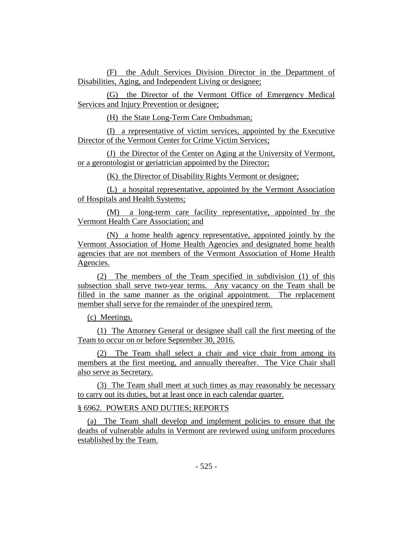(F) the Adult Services Division Director in the Department of Disabilities, Aging, and Independent Living or designee;

(G) the Director of the Vermont Office of Emergency Medical Services and Injury Prevention or designee;

(H) the State Long-Term Care Ombudsman;

(I) a representative of victim services, appointed by the Executive Director of the Vermont Center for Crime Victim Services;

(J) the Director of the Center on Aging at the University of Vermont, or a gerontologist or geriatrician appointed by the Director;

(K) the Director of Disability Rights Vermont or designee;

(L) a hospital representative, appointed by the Vermont Association of Hospitals and Health Systems;

(M) a long-term care facility representative, appointed by the Vermont Health Care Association; and

(N) a home health agency representative, appointed jointly by the Vermont Association of Home Health Agencies and designated home health agencies that are not members of the Vermont Association of Home Health Agencies.

(2) The members of the Team specified in subdivision (1) of this subsection shall serve two-year terms. Any vacancy on the Team shall be filled in the same manner as the original appointment. The replacement member shall serve for the remainder of the unexpired term.

(c) Meetings.

(1) The Attorney General or designee shall call the first meeting of the Team to occur on or before September 30, 2016.

(2) The Team shall select a chair and vice chair from among its members at the first meeting, and annually thereafter. The Vice Chair shall also serve as Secretary.

(3) The Team shall meet at such times as may reasonably be necessary to carry out its duties, but at least once in each calendar quarter.

## § 6962. POWERS AND DUTIES; REPORTS

(a) The Team shall develop and implement policies to ensure that the deaths of vulnerable adults in Vermont are reviewed using uniform procedures established by the Team.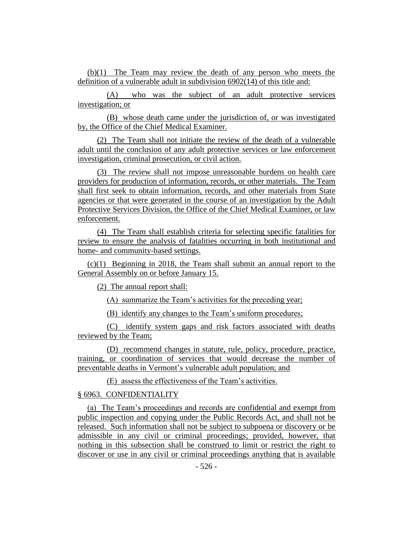(b)(1) The Team may review the death of any person who meets the definition of a vulnerable adult in subdivision 6902(14) of this title and:

(A) who was the subject of an adult protective services investigation; or

(B) whose death came under the jurisdiction of, or was investigated by, the Office of the Chief Medical Examiner.

(2) The Team shall not initiate the review of the death of a vulnerable adult until the conclusion of any adult protective services or law enforcement investigation, criminal prosecution, or civil action.

(3) The review shall not impose unreasonable burdens on health care providers for production of information, records, or other materials. The Team shall first seek to obtain information, records, and other materials from State agencies or that were generated in the course of an investigation by the Adult Protective Services Division, the Office of the Chief Medical Examiner, or law enforcement.

(4) The Team shall establish criteria for selecting specific fatalities for review to ensure the analysis of fatalities occurring in both institutional and home- and community-based settings.

(c)(1) Beginning in 2018, the Team shall submit an annual report to the General Assembly on or before January 15.

(2) The annual report shall:

(A) summarize the Team's activities for the preceding year;

(B) identify any changes to the Team's uniform procedures;

(C) identify system gaps and risk factors associated with deaths reviewed by the Team;

(D) recommend changes in statute, rule, policy, procedure, practice, training, or coordination of services that would decrease the number of preventable deaths in Vermont's vulnerable adult population; and

(E) assess the effectiveness of the Team's activities.

## § 6963. CONFIDENTIALITY

(a) The Team's proceedings and records are confidential and exempt from public inspection and copying under the Public Records Act, and shall not be released. Such information shall not be subject to subpoena or discovery or be admissible in any civil or criminal proceedings; provided, however, that nothing in this subsection shall be construed to limit or restrict the right to discover or use in any civil or criminal proceedings anything that is available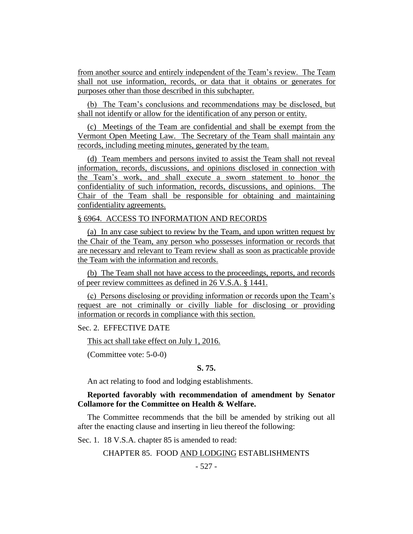from another source and entirely independent of the Team's review. The Team shall not use information, records, or data that it obtains or generates for purposes other than those described in this subchapter.

(b) The Team's conclusions and recommendations may be disclosed, but shall not identify or allow for the identification of any person or entity.

(c) Meetings of the Team are confidential and shall be exempt from the Vermont Open Meeting Law. The Secretary of the Team shall maintain any records, including meeting minutes, generated by the team.

(d) Team members and persons invited to assist the Team shall not reveal information, records, discussions, and opinions disclosed in connection with the Team's work, and shall execute a sworn statement to honor the confidentiality of such information, records, discussions, and opinions. The Chair of the Team shall be responsible for obtaining and maintaining confidentiality agreements.

#### § 6964. ACCESS TO INFORMATION AND RECORDS

(a) In any case subject to review by the Team, and upon written request by the Chair of the Team, any person who possesses information or records that are necessary and relevant to Team review shall as soon as practicable provide the Team with the information and records.

(b) The Team shall not have access to the proceedings, reports, and records of peer review committees as defined in 26 V.S.A. § 1441.

(c) Persons disclosing or providing information or records upon the Team's request are not criminally or civilly liable for disclosing or providing information or records in compliance with this section.

## Sec. 2. EFFECTIVE DATE

This act shall take effect on July 1, 2016.

(Committee vote: 5-0-0)

## **S. 75.**

An act relating to food and lodging establishments.

## **Reported favorably with recommendation of amendment by Senator Collamore for the Committee on Health & Welfare.**

The Committee recommends that the bill be amended by striking out all after the enacting clause and inserting in lieu thereof the following:

Sec. 1. 18 V.S.A. chapter 85 is amended to read:

#### CHAPTER 85. FOOD AND LODGING ESTABLISHMENTS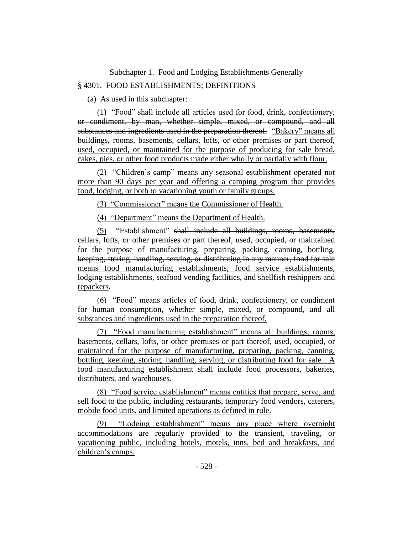Subchapter 1. Food and Lodging Establishments Generally

## § 4301. FOOD ESTABLISHMENTS; DEFINITIONS

(a) As used in this subchapter:

(1) "Food" shall include all articles used for food, drink, confectionery, or condiment, by man, whether simple, mixed, or compound, and all substances and ingredients used in the preparation thereof. "Bakery" means all buildings, rooms, basements, cellars, lofts, or other premises or part thereof, used, occupied, or maintained for the purpose of producing for sale bread, cakes, pies, or other food products made either wholly or partially with flour.

(2) "Children's camp" means any seasonal establishment operated not more than 90 days per year and offering a camping program that provides food, lodging, or both to vacationing youth or family groups.

(3) "Commissioner" means the Commissioner of Health.

(4) "Department" means the Department of Health.

(5) "Establishment" shall include all buildings, rooms, basements, cellars, lofts, or other premises or part thereof, used, occupied, or maintained for the purpose of manufacturing, preparing, packing, canning, bottling, keeping, storing, handling, serving, or distributing in any manner, food for sale means food manufacturing establishments, food service establishments, lodging establishments, seafood vending facilities, and shellfish reshippers and repackers.

(6) "Food" means articles of food, drink, confectionery, or condiment for human consumption, whether simple, mixed, or compound, and all substances and ingredients used in the preparation thereof.

(7) "Food manufacturing establishment" means all buildings, rooms, basements, cellars, lofts, or other premises or part thereof, used, occupied, or maintained for the purpose of manufacturing, preparing, packing, canning, bottling, keeping, storing, handling, serving, or distributing food for sale. A food manufacturing establishment shall include food processors, bakeries, distributers, and warehouses.

(8) "Food service establishment" means entities that prepare, serve, and sell food to the public, including restaurants, temporary food vendors, caterers, mobile food units, and limited operations as defined in rule.

"Lodging establishment" means any place where overnight accommodations are regularly provided to the transient, traveling, or vacationing public, including hotels, motels, inns, bed and breakfasts, and children's camps.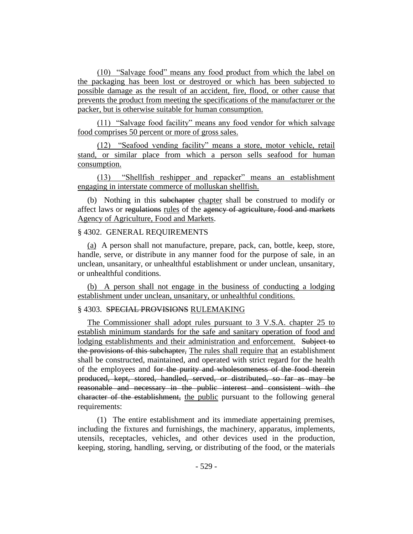(10) "Salvage food" means any food product from which the label on the packaging has been lost or destroyed or which has been subjected to possible damage as the result of an accident, fire, flood, or other cause that prevents the product from meeting the specifications of the manufacturer or the packer, but is otherwise suitable for human consumption.

(11) "Salvage food facility" means any food vendor for which salvage food comprises 50 percent or more of gross sales.

(12) "Seafood vending facility" means a store, motor vehicle, retail stand, or similar place from which a person sells seafood for human consumption.

(13) "Shellfish reshipper and repacker" means an establishment engaging in interstate commerce of molluskan shellfish.

(b) Nothing in this subchapter chapter shall be construed to modify or affect laws or regulations rules of the agency of agriculture, food and markets Agency of Agriculture, Food and Markets.

#### § 4302. GENERAL REQUIREMENTS

(a) A person shall not manufacture, prepare, pack, can, bottle, keep, store, handle, serve, or distribute in any manner food for the purpose of sale, in an unclean, unsanitary, or unhealthful establishment or under unclean, unsanitary, or unhealthful conditions.

(b) A person shall not engage in the business of conducting a lodging establishment under unclean, unsanitary, or unhealthful conditions.

## § 4303. SPECIAL PROVISIONS RULEMAKING

The Commissioner shall adopt rules pursuant to 3 V.S.A. chapter 25 to establish minimum standards for the safe and sanitary operation of food and lodging establishments and their administration and enforcement. Subject to the provisions of this subchapter, The rules shall require that an establishment shall be constructed, maintained, and operated with strict regard for the health of the employees and for the purity and wholesomeness of the food therein produced, kept, stored, handled, served, or distributed, so far as may be reasonable and necessary in the public interest and consistent with the character of the establishment, the public pursuant to the following general requirements:

(1) The entire establishment and its immediate appertaining premises, including the fixtures and furnishings, the machinery, apparatus, implements, utensils, receptacles, vehicles, and other devices used in the production, keeping, storing, handling, serving, or distributing of the food, or the materials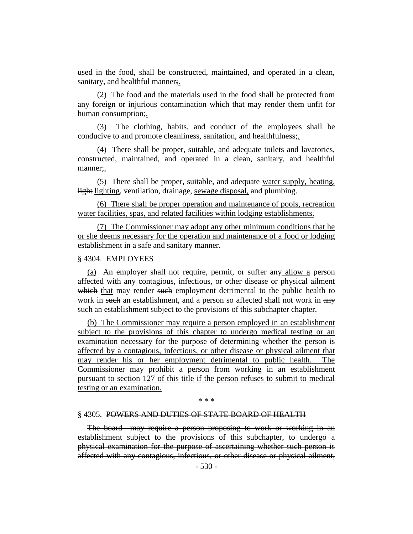used in the food, shall be constructed, maintained, and operated in a clean, sanitary, and healthful manner;.

(2) The food and the materials used in the food shall be protected from any foreign or injurious contamination which that may render them unfit for human consumption;.

(3) The clothing, habits, and conduct of the employees shall be conducive to and promote cleanliness, sanitation, and healthfulness;.

(4) There shall be proper, suitable, and adequate toilets and lavatories, constructed, maintained, and operated in a clean, sanitary, and healthful manner;.

(5) There shall be proper, suitable, and adequate water supply, heating, light lighting, ventilation, drainage, sewage disposal, and plumbing.

(6) There shall be proper operation and maintenance of pools, recreation water facilities, spas, and related facilities within lodging establishments.

(7) The Commissioner may adopt any other minimum conditions that he or she deems necessary for the operation and maintenance of a food or lodging establishment in a safe and sanitary manner.

#### § 4304. EMPLOYEES

(a) An employer shall not require, permit, or suffer any allow a person affected with any contagious, infectious, or other disease or physical ailment which that may render such employment detrimental to the public health to work in such an establishment, and a person so affected shall not work in any such an establishment subject to the provisions of this subchapter chapter.

(b) The Commissioner may require a person employed in an establishment subject to the provisions of this chapter to undergo medical testing or an examination necessary for the purpose of determining whether the person is affected by a contagious, infectious, or other disease or physical ailment that may render his or her employment detrimental to public health. The Commissioner may prohibit a person from working in an establishment pursuant to section 127 of this title if the person refuses to submit to medical testing or an examination.

\* \* \*

#### § 4305. POWERS AND DUTIES OF STATE BOARD OF HEALTH

The board may require a person proposing to work or working in an establishment subject to the provisions of this subchapter, to undergo a physical examination for the purpose of ascertaining whether such person is affected with any contagious, infectious, or other disease or physical ailment,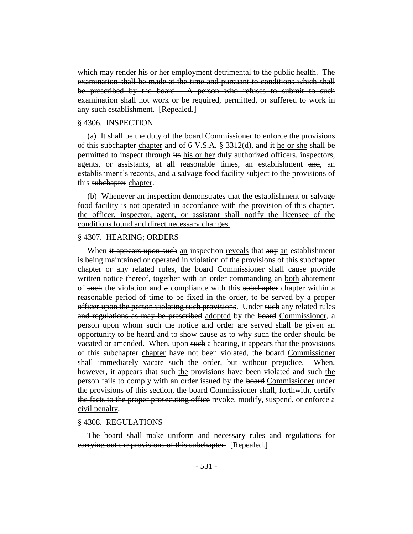which may render his or her employment detrimental to the public health. The examination shall be made at the time and pursuant to conditions which shall be prescribed by the board. A person who refuses to submit to such examination shall not work or be required, permitted, or suffered to work in any such establishment. [Repealed.]

#### § 4306. INSPECTION

(a) It shall be the duty of the board Commissioner to enforce the provisions of this subchapter chapter and of 6 V.S.A. § 3312(d), and it he or she shall be permitted to inspect through its his or her duly authorized officers, inspectors, agents, or assistants, at all reasonable times, an establishment and, an establishment's records, and a salvage food facility subject to the provisions of this subchapter chapter.

(b) Whenever an inspection demonstrates that the establishment or salvage food facility is not operated in accordance with the provision of this chapter, the officer, inspector, agent, or assistant shall notify the licensee of the conditions found and direct necessary changes.

#### § 4307. HEARING; ORDERS

When it appears upon such an inspection reveals that any an establishment is being maintained or operated in violation of the provisions of this subchapter chapter or any related rules, the board Commissioner shall cause provide written notice thereof, together with an order commanding an both abatement of such the violation and a compliance with this subchapter chapter within a reasonable period of time to be fixed in the order, to be served by a proper officer upon the person violating such provisions. Under such any related rules and regulations as may be prescribed adopted by the board Commissioner, a person upon whom such the notice and order are served shall be given an opportunity to be heard and to show cause <u>as to</u> why such the order should be vacated or amended. When, upon such a hearing, it appears that the provisions of this subchapter chapter have not been violated, the board Commissioner shall immediately vacate such the order, but without prejudice. When, however, it appears that such the provisions have been violated and such the person fails to comply with an order issued by the board Commissioner under the provisions of this section, the board Commissioner shall, forthwith, certify the facts to the proper prosecuting office revoke, modify, suspend, or enforce a civil penalty.

#### § 4308. REGULATIONS

The board shall make uniform and necessary rules and regulations for carrying out the provisions of this subchapter. [Repealed.]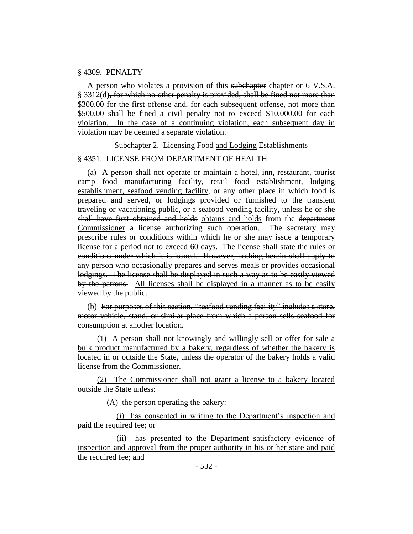#### § 4309. PENALTY

A person who violates a provision of this subchapter chapter or 6 V.S.A. § 3312(d), for which no other penalty is provided, shall be fined not more than \$300.00 for the first offense and, for each subsequent offense, not more than \$500.00 shall be fined a civil penalty not to exceed \$10,000.00 for each violation. In the case of a continuing violation, each subsequent day in violation may be deemed a separate violation.

Subchapter 2. Licensing Food and Lodging Establishments

#### § 4351. LICENSE FROM DEPARTMENT OF HEALTH

(a) A person shall not operate or maintain a hotel, inn, restaurant, tourist camp food manufacturing facility, retail food establishment, lodging establishment, seafood vending facility, or any other place in which food is prepared and served, or lodgings provided or furnished to the transient traveling or vacationing public, or a seafood vending facility, unless he or she shall have first obtained and holds obtains and holds from the department Commissioner a license authorizing such operation. The secretary may prescribe rules or conditions within which he or she may issue a temporary license for a period not to exceed 60 days. The license shall state the rules or conditions under which it is issued. However, nothing herein shall apply to any person who occasionally prepares and serves meals or provides occasional lodgings. The license shall be displayed in such a way as to be easily viewed by the patrons. All licenses shall be displayed in a manner as to be easily viewed by the public.

(b) For purposes of this section, "seafood vending facility" includes a store, motor vehicle, stand, or similar place from which a person sells seafood for consumption at another location.

(1) A person shall not knowingly and willingly sell or offer for sale a bulk product manufactured by a bakery, regardless of whether the bakery is located in or outside the State, unless the operator of the bakery holds a valid license from the Commissioner.

(2) The Commissioner shall not grant a license to a bakery located outside the State unless:

(A) the person operating the bakery:

(i) has consented in writing to the Department's inspection and paid the required fee; or

(ii) has presented to the Department satisfactory evidence of inspection and approval from the proper authority in his or her state and paid the required fee; and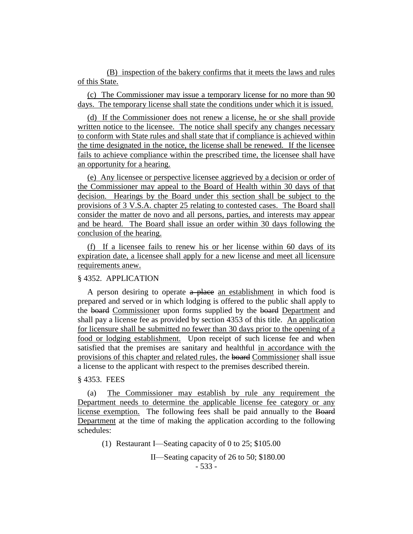(B) inspection of the bakery confirms that it meets the laws and rules of this State.

(c) The Commissioner may issue a temporary license for no more than 90 days. The temporary license shall state the conditions under which it is issued.

(d) If the Commissioner does not renew a license, he or she shall provide written notice to the licensee. The notice shall specify any changes necessary to conform with State rules and shall state that if compliance is achieved within the time designated in the notice, the license shall be renewed. If the licensee fails to achieve compliance within the prescribed time, the licensee shall have an opportunity for a hearing.

(e) Any licensee or perspective licensee aggrieved by a decision or order of the Commissioner may appeal to the Board of Health within 30 days of that decision. Hearings by the Board under this section shall be subject to the provisions of 3 V.S.A. chapter 25 relating to contested cases. The Board shall consider the matter de novo and all persons, parties, and interests may appear and be heard. The Board shall issue an order within 30 days following the conclusion of the hearing.

(f) If a licensee fails to renew his or her license within 60 days of its expiration date, a licensee shall apply for a new license and meet all licensure requirements anew.

## § 4352. APPLICATION

A person desiring to operate  $a$  place an establishment in which food is prepared and served or in which lodging is offered to the public shall apply to the board Commissioner upon forms supplied by the board Department and shall pay a license fee as provided by section 4353 of this title. An application for licensure shall be submitted no fewer than 30 days prior to the opening of a food or lodging establishment. Upon receipt of such license fee and when satisfied that the premises are sanitary and healthful in accordance with the provisions of this chapter and related rules, the board Commissioner shall issue a license to the applicant with respect to the premises described therein.

#### § 4353. FEES

(a) The Commissioner may establish by rule any requirement the Department needs to determine the applicable license fee category or any license exemption. The following fees shall be paid annually to the Board Department at the time of making the application according to the following schedules:

(1) Restaurant I—Seating capacity of 0 to 25; \$105.00

- 533 - II—Seating capacity of 26 to 50; \$180.00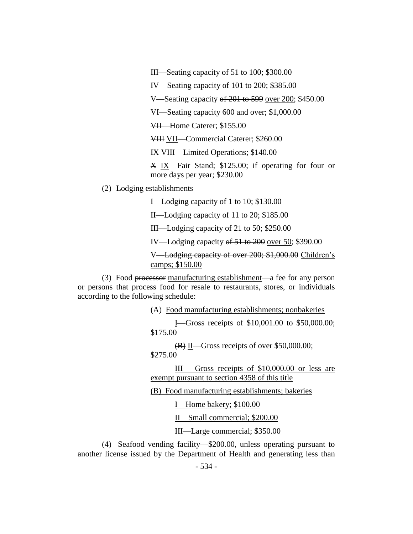III—Seating capacity of 51 to 100; \$300.00

IV—Seating capacity of 101 to 200; \$385.00

V—Seating capacity of 201 to 599 over 200; \$450.00

VI—Seating capacity 600 and over; \$1,000.00

VII—Home Caterer; \$155.00

VIII VII—Commercial Caterer; \$260.00

IX VIII—Limited Operations; \$140.00

X IX—Fair Stand; \$125.00; if operating for four or more days per year; \$230.00

(2) Lodging establishments

I—Lodging capacity of 1 to 10; \$130.00

II—Lodging capacity of 11 to 20; \$185.00

III—Lodging capacity of 21 to 50; \$250.00

IV—Lodging capacity of 51 to 200 over 50; \$390.00

V—Lodging capacity of over 200; \$1,000.00 Children's camps; \$150.00

(3) Food processor manufacturing establishment—a fee for any person or persons that process food for resale to restaurants, stores, or individuals according to the following schedule:

(A) Food manufacturing establishments; nonbakeries

I—Gross receipts of \$10,001.00 to \$50,000.00; \$175.00

 $\overline{(B)}$  II—Gross receipts of over \$50,000.00; \$275.00

III —Gross receipts of \$10,000.00 or less are exempt pursuant to section 4358 of this title

(B) Food manufacturing establishments; bakeries

I—Home bakery; \$100.00

II—Small commercial; \$200.00

III—Large commercial; \$350.00

(4) Seafood vending facility—\$200.00, unless operating pursuant to another license issued by the Department of Health and generating less than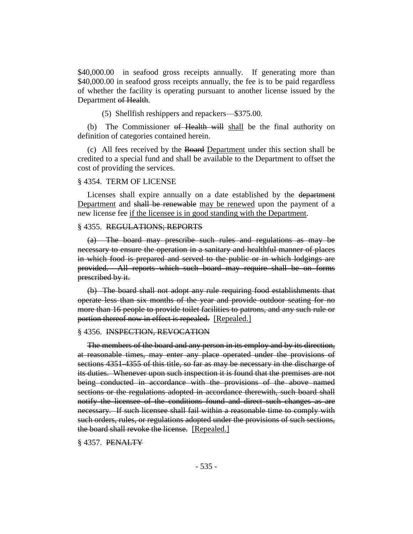\$40,000.00 in seafood gross receipts annually. If generating more than \$40,000.00 in seafood gross receipts annually, the fee is to be paid regardless of whether the facility is operating pursuant to another license issued by the Department of Health.

(5) Shellfish reshippers and repackers—\$375.00.

(b) The Commissioner of Health will shall be the final authority on definition of categories contained herein.

(c) All fees received by the Board Department under this section shall be credited to a special fund and shall be available to the Department to offset the cost of providing the services.

#### § 4354. TERM OF LICENSE

Licenses shall expire annually on a date established by the department Department and shall be renewable may be renewed upon the payment of a new license fee if the licensee is in good standing with the Department.

#### § 4355. REGULATIONS; REPORTS

(a) The board may prescribe such rules and regulations as may be necessary to ensure the operation in a sanitary and healthful manner of places in which food is prepared and served to the public or in which lodgings are provided. All reports which such board may require shall be on forms prescribed by it.

(b) The board shall not adopt any rule requiring food establishments that operate less than six months of the year and provide outdoor seating for no more than 16 people to provide toilet facilities to patrons, and any such rule or portion thereof now in effect is repealed. [Repealed.]

#### § 4356. INSPECTION, REVOCATION

The members of the board and any person in its employ and by its direction, at reasonable times, may enter any place operated under the provisions of sections 4351-4355 of this title, so far as may be necessary in the discharge of its duties. Whenever upon such inspection it is found that the premises are not being conducted in accordance with the provisions of the above named sections or the regulations adopted in accordance therewith, such board shall notify the licensee of the conditions found and direct such changes as are necessary. If such licensee shall fail within a reasonable time to comply with such orders, rules, or regulations adopted under the provisions of such sections, the board shall revoke the license. [Repealed.]

§ 4357. PENALTY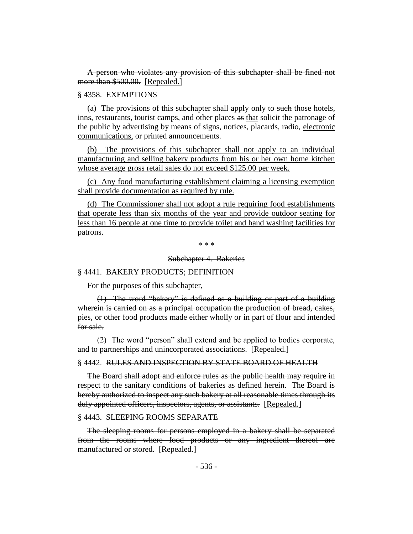A person who violates any provision of this subchapter shall be fined not more than \$500.00. [Repealed.]

§ 4358. EXEMPTIONS

(a) The provisions of this subchapter shall apply only to such those hotels, inns, restaurants, tourist camps, and other places as that solicit the patronage of the public by advertising by means of signs, notices, placards, radio, electronic communications, or printed announcements.

(b) The provisions of this subchapter shall not apply to an individual manufacturing and selling bakery products from his or her own home kitchen whose average gross retail sales do not exceed \$125.00 per week.

(c) Any food manufacturing establishment claiming a licensing exemption shall provide documentation as required by rule.

(d) The Commissioner shall not adopt a rule requiring food establishments that operate less than six months of the year and provide outdoor seating for less than 16 people at one time to provide toilet and hand washing facilities for patrons.

\* \* \*

Subchapter 4. Bakeries

#### § 4441. BAKERY PRODUCTS; DEFINITION

For the purposes of this subchapter,

(1) The word "bakery" is defined as a building or part of a building wherein is carried on as a principal occupation the production of bread, cakes, pies, or other food products made either wholly or in part of flour and intended for sale.

(2) The word "person" shall extend and be applied to bodies corporate, and to partnerships and unincorporated associations. [Repealed.]

§ 4442. RULES AND INSPECTION BY STATE BOARD OF HEALTH

The Board shall adopt and enforce rules as the public health may require in respect to the sanitary conditions of bakeries as defined herein. The Board is hereby authorized to inspect any such bakery at all reasonable times through its duly appointed officers, inspectors, agents, or assistants. [Repealed.]

#### § 4443. SLEEPING ROOMS SEPARATE

The sleeping rooms for persons employed in a bakery shall be separated from the rooms where food products or any ingredient thereof are manufactured or stored. [Repealed.]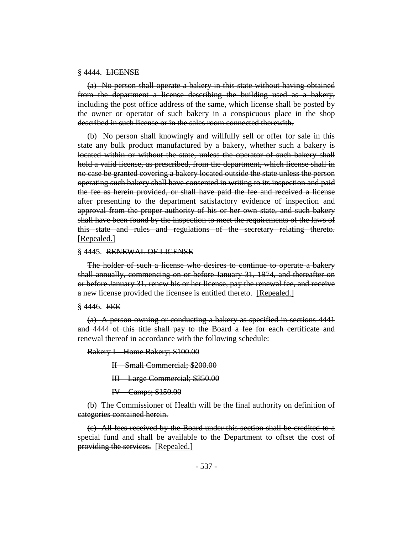#### § 4444. LICENSE

(a) No person shall operate a bakery in this state without having obtained from the department a license describing the building used as a bakery, including the post office address of the same, which license shall be posted by the owner or operator of such bakery in a conspicuous place in the shop described in such license or in the sales room connected therewith.

(b) No person shall knowingly and willfully sell or offer for sale in this state any bulk product manufactured by a bakery, whether such a bakery is located within or without the state, unless the operator of such bakery shall hold a valid license, as prescribed, from the department, which license shall in no case be granted covering a bakery located outside the state unless the person operating such bakery shall have consented in writing to its inspection and paid the fee as herein provided, or shall have paid the fee and received a license after presenting to the department satisfactory evidence of inspection and approval from the proper authority of his or her own state, and such bakery shall have been found by the inspection to meet the requirements of the laws of this state and rules and regulations of the secretary relating thereto. [Repealed.]

#### § 4445. RENEWAL OF LICENSE

The holder of such a license who desires to continue to operate a bakery shall annually, commencing on or before January 31, 1974, and thereafter on or before January 31, renew his or her license, pay the renewal fee, and receive a new license provided the licensee is entitled thereto. [Repealed.]

#### § 4446. FEE

(a) A person owning or conducting a bakery as specified in sections 4441 and 4444 of this title shall pay to the Board a fee for each certificate and renewal thereof in accordance with the following schedule:

Bakery I—Home Bakery; \$100.00

II—Small Commercial; \$200.00

III—Large Commercial; \$350.00

IV—Camps; \$150.00

(b) The Commissioner of Health will be the final authority on definition of categories contained herein.

(c) All fees received by the Board under this section shall be credited to a special fund and shall be available to the Department to offset the cost of providing the services. [Repealed.]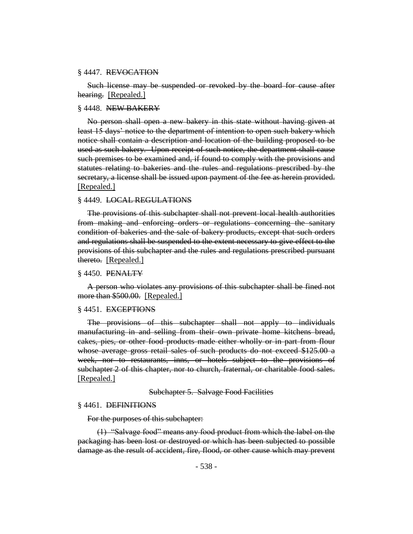#### § 4447. REVOCATION

Such license may be suspended or revoked by the board for cause after hearing. [Repealed.]

#### § 4448. NEW BAKERY

No person shall open a new bakery in this state without having given at least 15 days' notice to the department of intention to open such bakery which notice shall contain a description and location of the building proposed to be used as such bakery. Upon receipt of such notice, the department shall cause such premises to be examined and, if found to comply with the provisions and statutes relating to bakeries and the rules and regulations prescribed by the secretary, a license shall be issued upon payment of the fee as herein provided. [Repealed.]

#### § 4449. LOCAL REGULATIONS

The provisions of this subchapter shall not prevent local health authorities from making and enforcing orders or regulations concerning the sanitary condition of bakeries and the sale of bakery products, except that such orders and regulations shall be suspended to the extent necessary to give effect to the provisions of this subchapter and the rules and regulations prescribed pursuant thereto. [Repealed.]

#### § 4450. PENALTY

A person who violates any provisions of this subchapter shall be fined not more than \$500.00. [Repealed.]

#### § 4451. EXCEPTIONS

The provisions of this subchapter shall not apply to individuals manufacturing in and selling from their own private home kitchens bread, cakes, pies, or other food products made either wholly or in part from flour whose average gross retail sales of such products do not exceed \$125.00 a week, nor to restaurants, inns, or hotels subject to the provisions of subchapter 2 of this chapter, nor to church, fraternal, or charitable food sales. [Repealed.]

Subchapter 5. Salvage Food Facilities

## § 4461. DEFINITIONS

For the purposes of this subchapter:

(1) "Salvage food" means any food product from which the label on the packaging has been lost or destroyed or which has been subjected to possible damage as the result of accident, fire, flood, or other cause which may prevent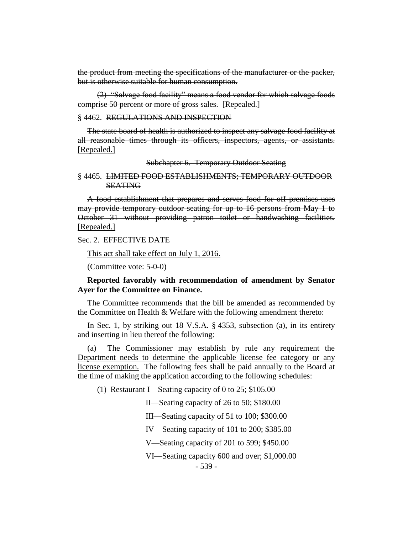the product from meeting the specifications of the manufacturer or the packer, but is otherwise suitable for human consumption.

(2) "Salvage food facility" means a food vendor for which salvage foods comprise 50 percent or more of gross sales. [Repealed.]

#### § 4462. REGULATIONS AND INSPECTION

The state board of health is authorized to inspect any salvage food facility at all reasonable times through its officers, inspectors, agents, or assistants. [Repealed.]

Subchapter 6. Temporary Outdoor Seating

#### § 4465. LIMITED FOOD ESTABLISHMENTS; TEMPORARY OUTDOOR **SEATING**

A food establishment that prepares and serves food for off premises uses may provide temporary outdoor seating for up to 16 persons from May 1 to October 31 without providing patron toilet or handwashing facilities. [Repealed.]

Sec. 2. EFFECTIVE DATE

This act shall take effect on July 1, 2016.

(Committee vote: 5-0-0)

## **Reported favorably with recommendation of amendment by Senator Ayer for the Committee on Finance.**

The Committee recommends that the bill be amended as recommended by the Committee on Health & Welfare with the following amendment thereto:

In Sec. 1, by striking out 18 V.S.A. § 4353, subsection (a), in its entirety and inserting in lieu thereof the following:

(a) The Commissioner may establish by rule any requirement the Department needs to determine the applicable license fee category or any license exemption. The following fees shall be paid annually to the Board at the time of making the application according to the following schedules:

(1) Restaurant I—Seating capacity of 0 to 25; \$105.00

II—Seating capacity of 26 to 50; \$180.00

III—Seating capacity of 51 to 100; \$300.00

IV—Seating capacity of 101 to 200; \$385.00

V—Seating capacity of 201 to 599; \$450.00

VI—Seating capacity 600 and over; \$1,000.00

- 539 -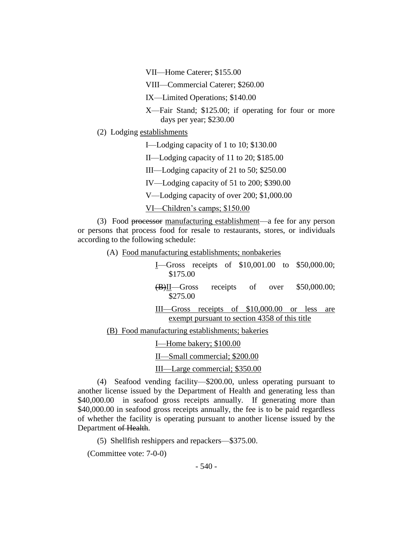VII—Home Caterer; \$155.00

VIII—Commercial Caterer; \$260.00

IX—Limited Operations; \$140.00

X—Fair Stand; \$125.00; if operating for four or more days per year; \$230.00

(2) Lodging establishments

I—Lodging capacity of 1 to 10; \$130.00

II—Lodging capacity of 11 to 20; \$185.00

III—Lodging capacity of 21 to 50; \$250.00

IV—Lodging capacity of 51 to 200; \$390.00

V—Lodging capacity of over 200; \$1,000.00

VI—Children's camps; \$150.00

(3) Food processor manufacturing establishment—a fee for any person or persons that process food for resale to restaurants, stores, or individuals according to the following schedule:

(A) Food manufacturing establishments; nonbakeries

| $I$ —Gross receipts of \$10,001.00 to \$50,000.00;<br>\$175.00                                       |
|------------------------------------------------------------------------------------------------------|
| \$50,000.00;<br>receipts of over<br>$(B)$ II—Gross<br>\$275.00                                       |
| receipts of \$10,000.00 or less<br>III—Gross<br>are<br>exempt pursuant to section 4358 of this title |
| (B) Food manufacturing establishments; bakeries                                                      |
| I—Home bakery; \$100.00                                                                              |
| II—Small commercial; \$200.00                                                                        |
| III—Large commercial; \$350.00                                                                       |

(4) Seafood vending facility—\$200.00, unless operating pursuant to another license issued by the Department of Health and generating less than \$40,000.00 in seafood gross receipts annually. If generating more than \$40,000.00 in seafood gross receipts annually, the fee is to be paid regardless of whether the facility is operating pursuant to another license issued by the Department of Health.

(5) Shellfish reshippers and repackers—\$375.00.

(Committee vote: 7-0-0)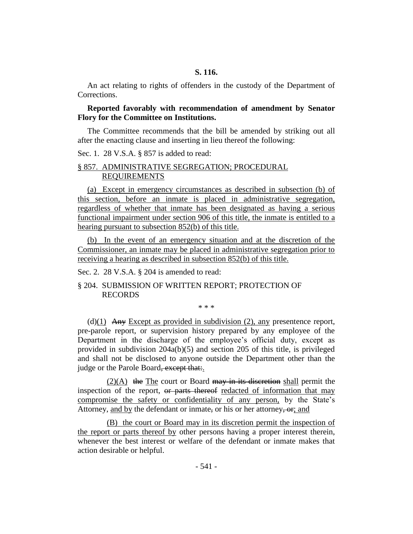An act relating to rights of offenders in the custody of the Department of Corrections.

## **Reported favorably with recommendation of amendment by Senator Flory for the Committee on Institutions.**

The Committee recommends that the bill be amended by striking out all after the enacting clause and inserting in lieu thereof the following:

Sec. 1. 28 V.S.A. § 857 is added to read:

## § 857. ADMINISTRATIVE SEGREGATION; PROCEDURAL REQUIREMENTS

(a) Except in emergency circumstances as described in subsection (b) of this section, before an inmate is placed in administrative segregation, regardless of whether that inmate has been designated as having a serious functional impairment under section 906 of this title, the inmate is entitled to a hearing pursuant to subsection 852(b) of this title.

(b) In the event of an emergency situation and at the discretion of the Commissioner, an inmate may be placed in administrative segregation prior to receiving a hearing as described in subsection 852(b) of this title.

Sec. 2. 28 V.S.A. § 204 is amended to read:

## § 204. SUBMISSION OF WRITTEN REPORT; PROTECTION OF RECORDS

\* \* \*

(d)(1) Any Except as provided in subdivision (2), any presentence report, pre-parole report, or supervision history prepared by any employee of the Department in the discharge of the employee's official duty, except as provided in subdivision 204a(b)(5) and section 205 of this title, is privileged and shall not be disclosed to anyone outside the Department other than the judge or the Parole Board, except that:.

 $(2)(A)$  the The court or Board may in its discretion shall permit the inspection of the report, or parts thereof redacted of information that may compromise the safety or confidentiality of any person, by the State's Attorney, and by the defendant or inmate, or his or her attorney, or and

(B) the court or Board may in its discretion permit the inspection of the report or parts thereof by other persons having a proper interest therein, whenever the best interest or welfare of the defendant or inmate makes that action desirable or helpful.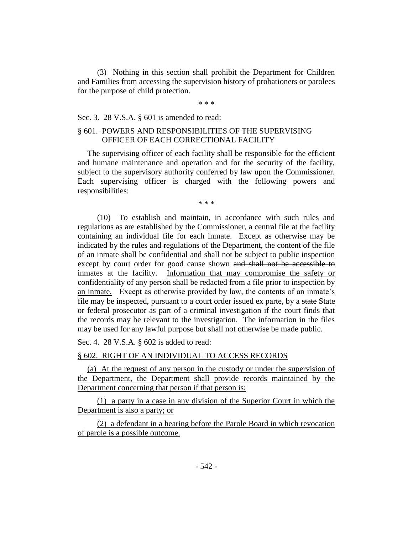(3) Nothing in this section shall prohibit the Department for Children and Families from accessing the supervision history of probationers or parolees for the purpose of child protection.

\* \* \*

#### Sec. 3. 28 V.S.A. § 601 is amended to read:

## § 601. POWERS AND RESPONSIBILITIES OF THE SUPERVISING OFFICER OF EACH CORRECTIONAL FACILITY

The supervising officer of each facility shall be responsible for the efficient and humane maintenance and operation and for the security of the facility, subject to the supervisory authority conferred by law upon the Commissioner. Each supervising officer is charged with the following powers and responsibilities:

\* \* \*

(10) To establish and maintain, in accordance with such rules and regulations as are established by the Commissioner, a central file at the facility containing an individual file for each inmate. Except as otherwise may be indicated by the rules and regulations of the Department, the content of the file of an inmate shall be confidential and shall not be subject to public inspection except by court order for good cause shown and shall not be accessible to inmates at the facility. Information that may compromise the safety or confidentiality of any person shall be redacted from a file prior to inspection by an inmate. Except as otherwise provided by law, the contents of an inmate's file may be inspected, pursuant to a court order issued ex parte, by a state State or federal prosecutor as part of a criminal investigation if the court finds that the records may be relevant to the investigation. The information in the files may be used for any lawful purpose but shall not otherwise be made public.

Sec. 4. 28 V.S.A. § 602 is added to read:

## § 602. RIGHT OF AN INDIVIDUAL TO ACCESS RECORDS

(a) At the request of any person in the custody or under the supervision of the Department, the Department shall provide records maintained by the Department concerning that person if that person is:

(1) a party in a case in any division of the Superior Court in which the Department is also a party; or

(2) a defendant in a hearing before the Parole Board in which revocation of parole is a possible outcome.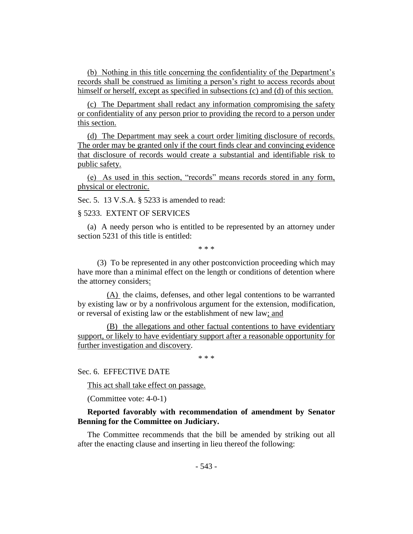(b) Nothing in this title concerning the confidentiality of the Department's records shall be construed as limiting a person's right to access records about himself or herself, except as specified in subsections (c) and (d) of this section.

(c) The Department shall redact any information compromising the safety or confidentiality of any person prior to providing the record to a person under this section.

(d) The Department may seek a court order limiting disclosure of records. The order may be granted only if the court finds clear and convincing evidence that disclosure of records would create a substantial and identifiable risk to public safety.

(e) As used in this section, "records" means records stored in any form, physical or electronic.

Sec. 5. 13 V.S.A. § 5233 is amended to read:

## § 5233. EXTENT OF SERVICES

(a) A needy person who is entitled to be represented by an attorney under section 5231 of this title is entitled:

\* \* \*

(3) To be represented in any other postconviction proceeding which may have more than a minimal effect on the length or conditions of detention where the attorney considers:

(A) the claims, defenses, and other legal contentions to be warranted by existing law or by a nonfrivolous argument for the extension, modification, or reversal of existing law or the establishment of new law; and

(B) the allegations and other factual contentions to have evidentiary support, or likely to have evidentiary support after a reasonable opportunity for further investigation and discovery.

\* \* \*

Sec. 6. EFFECTIVE DATE

This act shall take effect on passage.

(Committee vote: 4-0-1)

**Reported favorably with recommendation of amendment by Senator Benning for the Committee on Judiciary.**

The Committee recommends that the bill be amended by striking out all after the enacting clause and inserting in lieu thereof the following: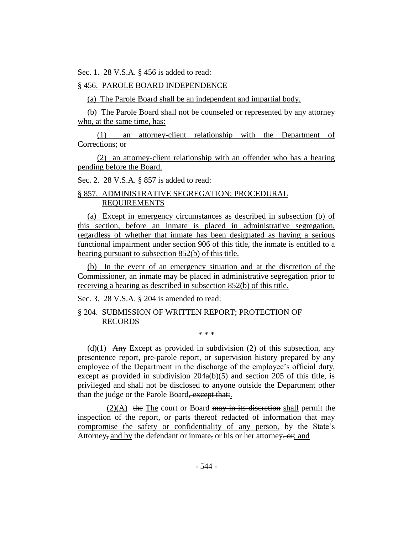Sec. 1. 28 V.S.A. § 456 is added to read:

## § 456. PAROLE BOARD INDEPENDENCE

(a) The Parole Board shall be an independent and impartial body.

(b) The Parole Board shall not be counseled or represented by any attorney who, at the same time, has:

(1) an attorney-client relationship with the Department of Corrections; or

(2) an attorney-client relationship with an offender who has a hearing pending before the Board.

Sec. 2. 28 V.S.A. § 857 is added to read:

## § 857. ADMINISTRATIVE SEGREGATION; PROCEDURAL REQUIREMENTS

(a) Except in emergency circumstances as described in subsection (b) of this section, before an inmate is placed in administrative segregation, regardless of whether that inmate has been designated as having a serious functional impairment under section 906 of this title, the inmate is entitled to a hearing pursuant to subsection 852(b) of this title.

(b) In the event of an emergency situation and at the discretion of the Commissioner, an inmate may be placed in administrative segregation prior to receiving a hearing as described in subsection 852(b) of this title.

Sec. 3. 28 V.S.A. § 204 is amended to read:

§ 204. SUBMISSION OF WRITTEN REPORT; PROTECTION OF RECORDS

\* \* \*

(d) $(1)$  Any Except as provided in subdivision (2) of this subsection, any presentence report, pre-parole report, or supervision history prepared by any employee of the Department in the discharge of the employee's official duty, except as provided in subdivision 204a(b)(5) and section 205 of this title, is privileged and shall not be disclosed to anyone outside the Department other than the judge or the Parole Board, except that.

 $(2)(A)$  the The court or Board may in its discretion shall permit the inspection of the report, or parts thereof redacted of information that may compromise the safety or confidentiality of any person, by the State's Attorney, and by the defendant or inmate, or his or her attorney, or, and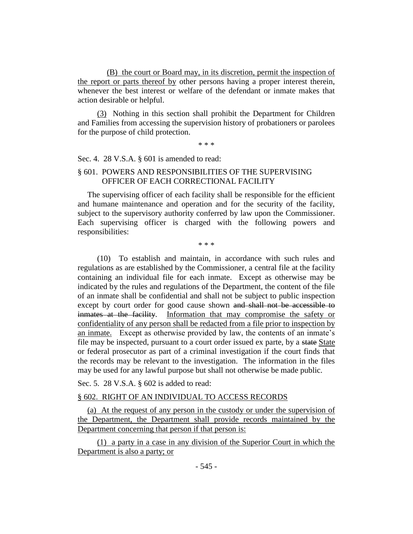(B) the court or Board may, in its discretion, permit the inspection of the report or parts thereof by other persons having a proper interest therein, whenever the best interest or welfare of the defendant or inmate makes that action desirable or helpful.

(3) Nothing in this section shall prohibit the Department for Children and Families from accessing the supervision history of probationers or parolees for the purpose of child protection.

\* \* \*

Sec. 4. 28 V.S.A. § 601 is amended to read:

## § 601. POWERS AND RESPONSIBILITIES OF THE SUPERVISING OFFICER OF EACH CORRECTIONAL FACILITY

The supervising officer of each facility shall be responsible for the efficient and humane maintenance and operation and for the security of the facility, subject to the supervisory authority conferred by law upon the Commissioner. Each supervising officer is charged with the following powers and responsibilities:

\* \* \*

(10) To establish and maintain, in accordance with such rules and regulations as are established by the Commissioner, a central file at the facility containing an individual file for each inmate. Except as otherwise may be indicated by the rules and regulations of the Department, the content of the file of an inmate shall be confidential and shall not be subject to public inspection except by court order for good cause shown and shall not be accessible to inmates at the facility. Information that may compromise the safety or confidentiality of any person shall be redacted from a file prior to inspection by an inmate. Except as otherwise provided by law, the contents of an inmate's file may be inspected, pursuant to a court order issued ex parte, by a state State or federal prosecutor as part of a criminal investigation if the court finds that the records may be relevant to the investigation. The information in the files may be used for any lawful purpose but shall not otherwise be made public.

Sec. 5. 28 V.S.A. § 602 is added to read:

## § 602. RIGHT OF AN INDIVIDUAL TO ACCESS RECORDS

(a) At the request of any person in the custody or under the supervision of the Department, the Department shall provide records maintained by the Department concerning that person if that person is:

(1) a party in a case in any division of the Superior Court in which the Department is also a party; or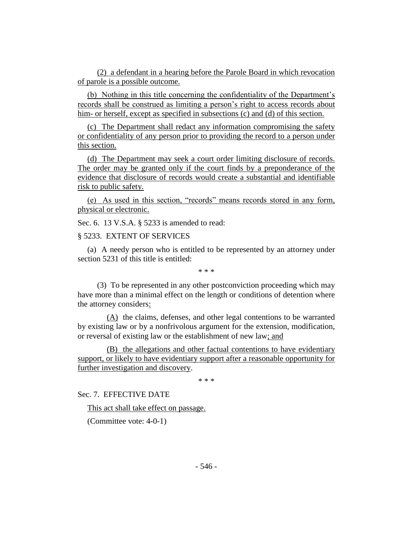(2) a defendant in a hearing before the Parole Board in which revocation of parole is a possible outcome.

(b) Nothing in this title concerning the confidentiality of the Department's records shall be construed as limiting a person's right to access records about him- or herself, except as specified in subsections (c) and (d) of this section.

(c) The Department shall redact any information compromising the safety or confidentiality of any person prior to providing the record to a person under this section.

(d) The Department may seek a court order limiting disclosure of records. The order may be granted only if the court finds by a preponderance of the evidence that disclosure of records would create a substantial and identifiable risk to public safety.

(e) As used in this section, "records" means records stored in any form, physical or electronic.

Sec. 6. 13 V.S.A. § 5233 is amended to read:

§ 5233. EXTENT OF SERVICES

(a) A needy person who is entitled to be represented by an attorney under section 5231 of this title is entitled:

\* \* \*

(3) To be represented in any other postconviction proceeding which may have more than a minimal effect on the length or conditions of detention where the attorney considers:

(A) the claims, defenses, and other legal contentions to be warranted by existing law or by a nonfrivolous argument for the extension, modification, or reversal of existing law or the establishment of new law; and

(B) the allegations and other factual contentions to have evidentiary support, or likely to have evidentiary support after a reasonable opportunity for further investigation and discovery.

\* \* \*

Sec. 7. EFFECTIVE DATE

This act shall take effect on passage.

(Committee vote: 4-0-1)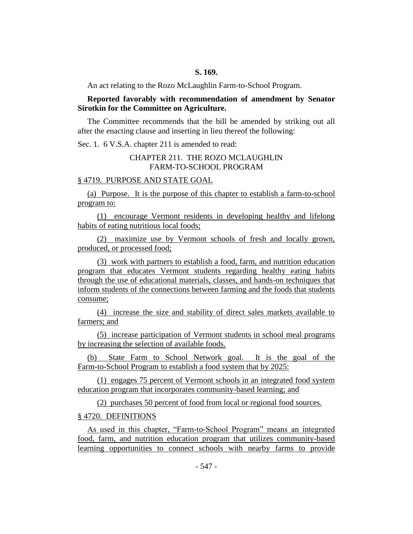An act relating to the Rozo McLaughlin Farm-to-School Program.

## **Reported favorably with recommendation of amendment by Senator Sirotkin for the Committee on Agriculture.**

The Committee recommends that the bill be amended by striking out all after the enacting clause and inserting in lieu thereof the following:

Sec. 1. 6 V.S.A. chapter 211 is amended to read:

## CHAPTER 211. THE ROZO MCLAUGHLIN FARM-TO-SCHOOL PROGRAM

#### § 4719. PURPOSE AND STATE GOAL

(a) Purpose. It is the purpose of this chapter to establish a farm-to-school program to:

(1) encourage Vermont residents in developing healthy and lifelong habits of eating nutritious local foods;

(2) maximize use by Vermont schools of fresh and locally grown, produced, or processed food;

(3) work with partners to establish a food, farm, and nutrition education program that educates Vermont students regarding healthy eating habits through the use of educational materials, classes, and hands-on techniques that inform students of the connections between farming and the foods that students consume;

(4) increase the size and stability of direct sales markets available to farmers; and

(5) increase participation of Vermont students in school meal programs by increasing the selection of available foods.

(b) State Farm to School Network goal. It is the goal of the Farm-to-School Program to establish a food system that by 2025:

(1) engages 75 percent of Vermont schools in an integrated food system education program that incorporates community-based learning; and

(2) purchases 50 percent of food from local or regional food sources.

## § 4720. DEFINITIONS

As used in this chapter, "Farm-to-School Program" means an integrated food, farm, and nutrition education program that utilizes community-based learning opportunities to connect schools with nearby farms to provide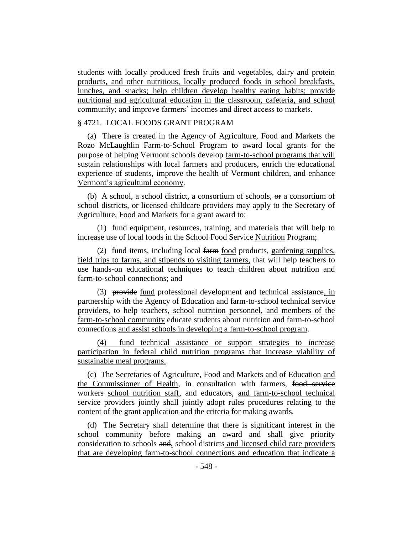students with locally produced fresh fruits and vegetables, dairy and protein products, and other nutritious, locally produced foods in school breakfasts, lunches, and snacks; help children develop healthy eating habits; provide nutritional and agricultural education in the classroom, cafeteria, and school community; and improve farmers' incomes and direct access to markets.

## § 4721. LOCAL FOODS GRANT PROGRAM

(a) There is created in the Agency of Agriculture, Food and Markets the Rozo McLaughlin Farm-to-School Program to award local grants for the purpose of helping Vermont schools develop farm-to-school programs that will sustain relationships with local farmers and producers, enrich the educational experience of students, improve the health of Vermont children, and enhance Vermont's agricultural economy.

(b) A school, a school district, a consortium of schools,  $\Theta$  a consortium of school districts, or licensed childcare providers may apply to the Secretary of Agriculture, Food and Markets for a grant award to:

(1) fund equipment, resources, training, and materials that will help to increase use of local foods in the School Food Service Nutrition Program;

(2) fund items, including local farm food products, gardening supplies, field trips to farms, and stipends to visiting farmers, that will help teachers to use hands-on educational techniques to teach children about nutrition and farm-to-school connections; and

(3) provide fund professional development and technical assistance, in partnership with the Agency of Education and farm-to-school technical service providers, to help teachers, school nutrition personnel, and members of the farm-to-school community educate students about nutrition and farm-to-school connections and assist schools in developing a farm-to-school program.

(4) fund technical assistance or support strategies to increase participation in federal child nutrition programs that increase viability of sustainable meal programs.

(c) The Secretaries of Agriculture, Food and Markets and of Education and the Commissioner of Health, in consultation with farmers, food service workers school nutrition staff, and educators, and farm-to-school technical service providers jointly shall jointly adopt rules procedures relating to the content of the grant application and the criteria for making awards.

(d) The Secretary shall determine that there is significant interest in the school community before making an award and shall give priority consideration to schools and, school districts and licensed child care providers that are developing farm-to-school connections and education that indicate a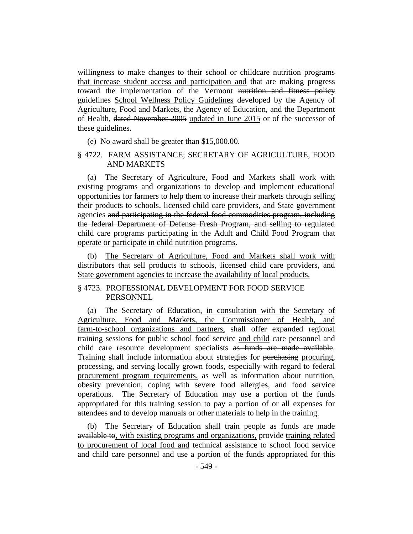willingness to make changes to their school or childcare nutrition programs that increase student access and participation and that are making progress toward the implementation of the Vermont nutrition and fitness policy guidelines School Wellness Policy Guidelines developed by the Agency of Agriculture, Food and Markets, the Agency of Education, and the Department of Health, dated November 2005 updated in June 2015 or of the successor of these guidelines.

(e) No award shall be greater than \$15,000.00.

## § 4722. FARM ASSISTANCE; SECRETARY OF AGRICULTURE, FOOD AND MARKETS

(a) The Secretary of Agriculture, Food and Markets shall work with existing programs and organizations to develop and implement educational opportunities for farmers to help them to increase their markets through selling their products to schools, licensed child care providers, and State government agencies and participating in the federal food commodities program, including the federal Department of Defense Fresh Program, and selling to regulated child care programs participating in the Adult and Child Food Program that operate or participate in child nutrition programs.

(b) The Secretary of Agriculture, Food and Markets shall work with distributors that sell products to schools, licensed child care providers, and State government agencies to increase the availability of local products.

## § 4723. PROFESSIONAL DEVELOPMENT FOR FOOD SERVICE **PERSONNEL**

(a) The Secretary of Education, in consultation with the Secretary of Agriculture, Food and Markets, the Commissioner of Health, and farm-to-school organizations and partners, shall offer expanded regional training sessions for public school food service and child care personnel and child care resource development specialists as funds are made available. Training shall include information about strategies for <del>purchasing</del> procuring, processing, and serving locally grown foods, especially with regard to federal procurement program requirements, as well as information about nutrition, obesity prevention, coping with severe food allergies, and food service operations. The Secretary of Education may use a portion of the funds appropriated for this training session to pay a portion of or all expenses for attendees and to develop manuals or other materials to help in the training.

(b) The Secretary of Education shall train people as funds are made available to, with existing programs and organizations, provide training related to procurement of local food and technical assistance to school food service and child care personnel and use a portion of the funds appropriated for this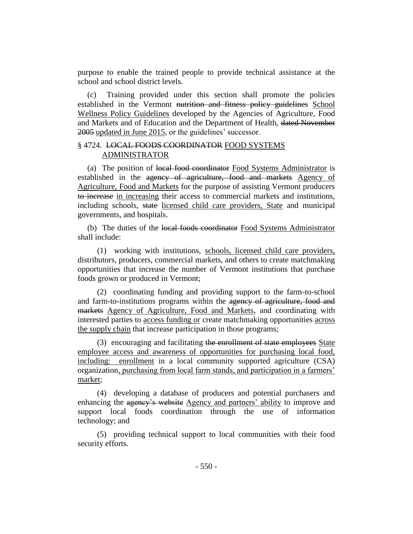purpose to enable the trained people to provide technical assistance at the school and school district levels.

(c) Training provided under this section shall promote the policies established in the Vermont nutrition and fitness policy guidelines School Wellness Policy Guidelines developed by the Agencies of Agriculture, Food and Markets and of Education and the Department of Health, dated November 2005 updated in June 2015, or the guidelines' successor.

## § 4724. LOCAL FOODS COORDINATOR FOOD SYSTEMS ADMINISTRATOR

(a) The position of local food coordinator Food Systems Administrator is established in the agency of agriculture, food and markets Agency of Agriculture, Food and Markets for the purpose of assisting Vermont producers to increase in increasing their access to commercial markets and institutions, including schools, state licensed child care providers, State and municipal governments, and hospitals.

(b) The duties of the local foods coordinator Food Systems Administrator shall include:

(1) working with institutions, schools, licensed child care providers, distributors, producers, commercial markets, and others to create matchmaking opportunities that increase the number of Vermont institutions that purchase foods grown or produced in Vermont;

(2) coordinating funding and providing support to the farm-to-school and farm-to-institutions programs within the agency of agriculture, food and markets Agency of Agriculture, Food and Markets, and coordinating with interested parties to access funding or create matchmaking opportunities across the supply chain that increase participation in those programs;

(3) encouraging and facilitating the enrollment of state employees State employee access and awareness of opportunities for purchasing local food, including: enrollment in a local community supported agriculture (CSA) organization, purchasing from local farm stands, and participation in a farmers' market;

(4) developing a database of producers and potential purchasers and enhancing the agency's website Agency and partners' ability to improve and support local foods coordination through the use of information technology; and

(5) providing technical support to local communities with their food security efforts.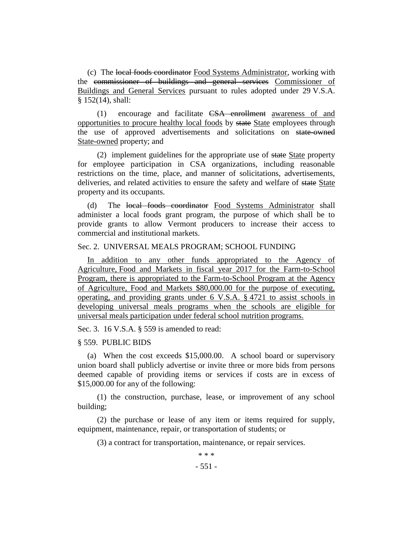(c) The local foods coordinator Food Systems Administrator, working with the commissioner of buildings and general services Commissioner of Buildings and General Services pursuant to rules adopted under 29 V.S.A. § 152(14), shall:

(1) encourage and facilitate CSA enrollment awareness of and opportunities to procure healthy local foods by state State employees through the use of approved advertisements and solicitations on state-owned State-owned property; and

(2) implement guidelines for the appropriate use of state State property for employee participation in CSA organizations, including reasonable restrictions on the time, place, and manner of solicitations, advertisements, deliveries, and related activities to ensure the safety and welfare of state State property and its occupants.

(d) The local foods coordinator Food Systems Administrator shall administer a local foods grant program, the purpose of which shall be to provide grants to allow Vermont producers to increase their access to commercial and institutional markets.

#### Sec. 2. UNIVERSAL MEALS PROGRAM; SCHOOL FUNDING

In addition to any other funds appropriated to the Agency of Agriculture, Food and Markets in fiscal year 2017 for the Farm-to-School Program, there is appropriated to the Farm-to-School Program at the Agency of Agriculture, Food and Markets \$80,000.00 for the purpose of executing, operating, and providing grants under 6 V.S.A. § 4721 to assist schools in developing universal meals programs when the schools are eligible for universal meals participation under federal school nutrition programs.

Sec. 3. 16 V.S.A. § 559 is amended to read:

#### § 559. PUBLIC BIDS

(a) When the cost exceeds \$15,000.00. A school board or supervisory union board shall publicly advertise or invite three or more bids from persons deemed capable of providing items or services if costs are in excess of \$15,000.00 for any of the following:

(1) the construction, purchase, lease, or improvement of any school building;

(2) the purchase or lease of any item or items required for supply, equipment, maintenance, repair, or transportation of students; or

(3) a contract for transportation, maintenance, or repair services.

\* \* \*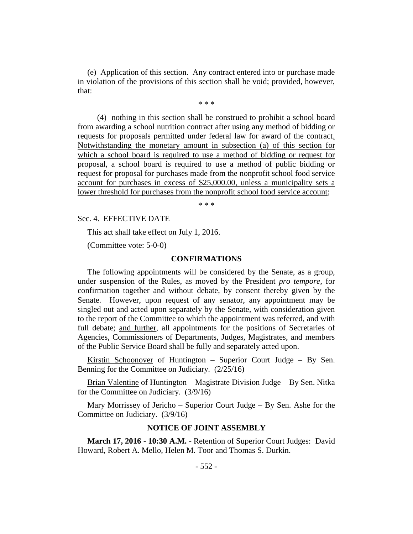(e) Application of this section. Any contract entered into or purchase made in violation of the provisions of this section shall be void; provided, however, that:

\* \* \*

(4) nothing in this section shall be construed to prohibit a school board from awarding a school nutrition contract after using any method of bidding or requests for proposals permitted under federal law for award of the contract. Notwithstanding the monetary amount in subsection (a) of this section for which a school board is required to use a method of bidding or request for proposal, a school board is required to use a method of public bidding or request for proposal for purchases made from the nonprofit school food service account for purchases in excess of \$25,000.00, unless a municipality sets a lower threshold for purchases from the nonprofit school food service account;

\* \* \*

Sec. 4. EFFECTIVE DATE

This act shall take effect on July 1, 2016.

(Committee vote: 5-0-0)

#### **CONFIRMATIONS**

The following appointments will be considered by the Senate, as a group, under suspension of the Rules, as moved by the President *pro tempore,* for confirmation together and without debate, by consent thereby given by the Senate. However, upon request of any senator, any appointment may be singled out and acted upon separately by the Senate, with consideration given to the report of the Committee to which the appointment was referred, and with full debate; and further, all appointments for the positions of Secretaries of Agencies, Commissioners of Departments, Judges, Magistrates, and members of the Public Service Board shall be fully and separately acted upon.

Kirstin Schoonover of Huntington – Superior Court Judge – By Sen. Benning for the Committee on Judiciary. (2/25/16)

Brian Valentine of Huntington – Magistrate Division Judge – By Sen. Nitka for the Committee on Judiciary. (3/9/16)

Mary Morrissey of Jericho - Superior Court Judge - By Sen. Ashe for the Committee on Judiciary. (3/9/16)

#### **NOTICE OF JOINT ASSEMBLY**

**March 17, 2016 - 10:30 A.M.** - Retention of Superior Court Judges: David Howard, Robert A. Mello, Helen M. Toor and Thomas S. Durkin.